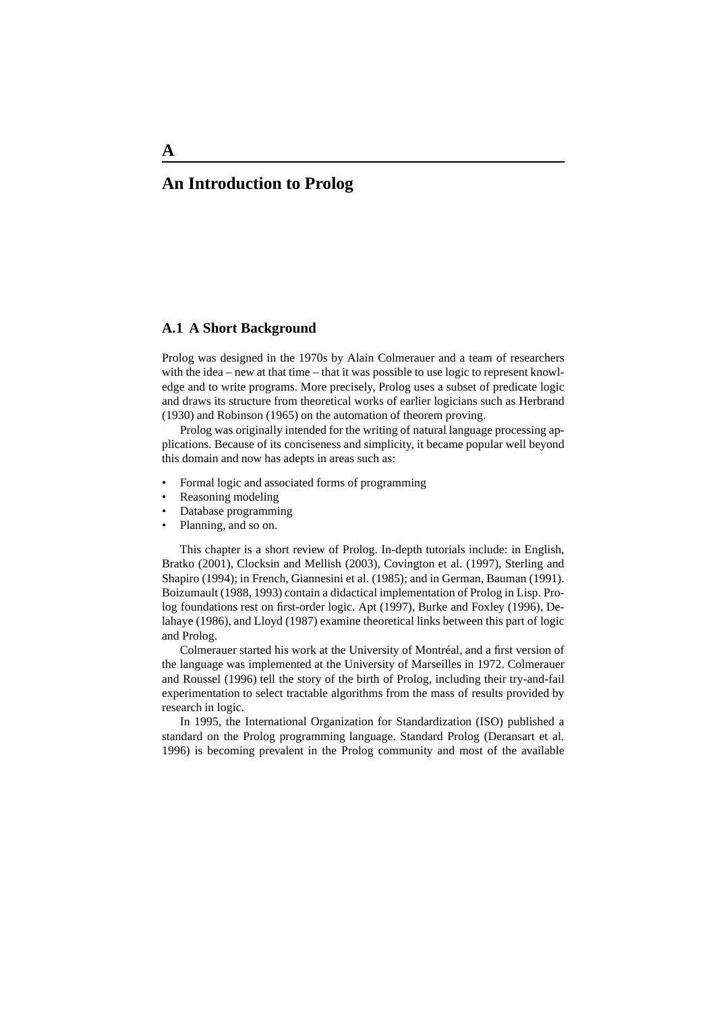### **A.1 A Short Background**

Prolog was designed in the 1970s by Alain Colmerauer and a team of researchers with the idea – new at that time – that it was possible to use logic to represent knowledge and to write programs. More precisely, Prolog uses a subset of predicate logic and draws its structure from theoretical works of earlier logicians such as Herbrand (1930) and Robinson (1965) on the automation of theorem proving.

Prolog was originally intended for the writing of natural language processing applications. Because of its conciseness and simplicity, it became popular well beyond this domain and now has adepts in areas such as:

- Formal logic and associated forms of programming
- Reasoning modeling
- Database programming
- Planning, and so on.

This chapter is a short review of Prolog. In-depth tutorials include: in English, Bratko (2001), Clocksin and Mellish (2003), Covington et al. (1997), Sterling and Shapiro (1994); in French, Giannesini et al. (1985); and in German, Bauman (1991). Boizumault (1988, 1993) contain a didactical implementation of Prolog in Lisp. Prolog foundations rest on first-order logic. Apt (1997), Burke and Foxley (1996), Delahaye (1986), and Lloyd (1987) examine theoretical links between this part of logic and Prolog.

Colmerauer started his work at the University of Montréal, and a first version of the language was implemented at the University of Marseilles in 1972. Colmerauer and Roussel (1996) tell the story of the birth of Prolog, including their try-and-fail experimentation to select tractable algorithms from the mass of results provided by research in logic.

In 1995, the International Organization for Standardization (ISO) published a standard on the Prolog programming language. Standard Prolog (Deransart et al. 1996) is becoming prevalent in the Prolog community and most of the available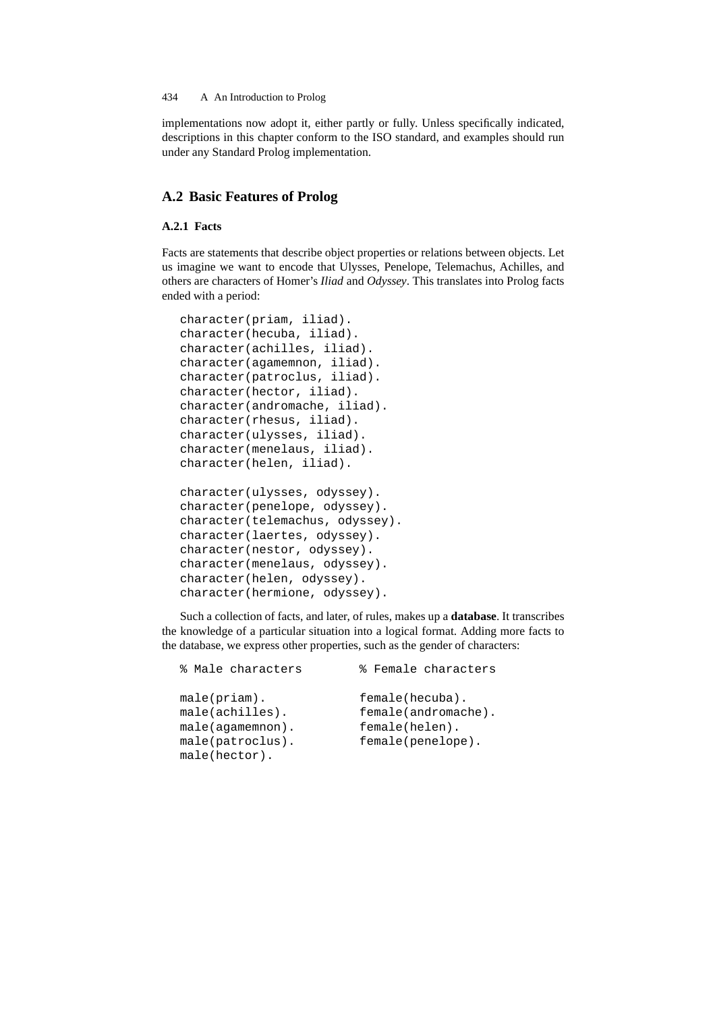implementations now adopt it, either partly or fully. Unless specifically indicated, descriptions in this chapter conform to the ISO standard, and examples should run under any Standard Prolog implementation.

## **A.2 Basic Features of Prolog**

#### **A.2.1 Facts**

Facts are statements that describe object properties or relations between objects. Let us imagine we want to encode that Ulysses, Penelope, Telemachus, Achilles, and others are characters of Homer's *Iliad* and *Odyssey*. This translates into Prolog facts ended with a period:

```
character(priam, iliad).
character(hecuba, iliad).
character(achilles, iliad).
character(agamemnon, iliad).
character(patroclus, iliad).
character(hector, iliad).
character(andromache, iliad).
character(rhesus, iliad).
character(ulysses, iliad).
character(menelaus, iliad).
character(helen, iliad).
character(ulysses, odyssey).
character(penelope, odyssey).
character(telemachus, odyssey).
character(laertes, odyssey).
character(nestor, odyssey).
character(menelaus, odyssey).
character(helen, odyssey).
character(hermione, odyssey).
```
Such a collection of facts, and later, of rules, makes up a **database**. It transcribes the knowledge of a particular situation into a logical format. Adding more facts to the database, we express other properties, such as the gender of characters:

| % Male characters | % Female characters |
|-------------------|---------------------|
| male(priam).      | female(hecuba).     |
| male(achilles).   | female(andromache). |
| male(aqamemnon).  | female(helen).      |
| male(patroclus).  | female(penelope).   |
| male(hector).     |                     |
|                   |                     |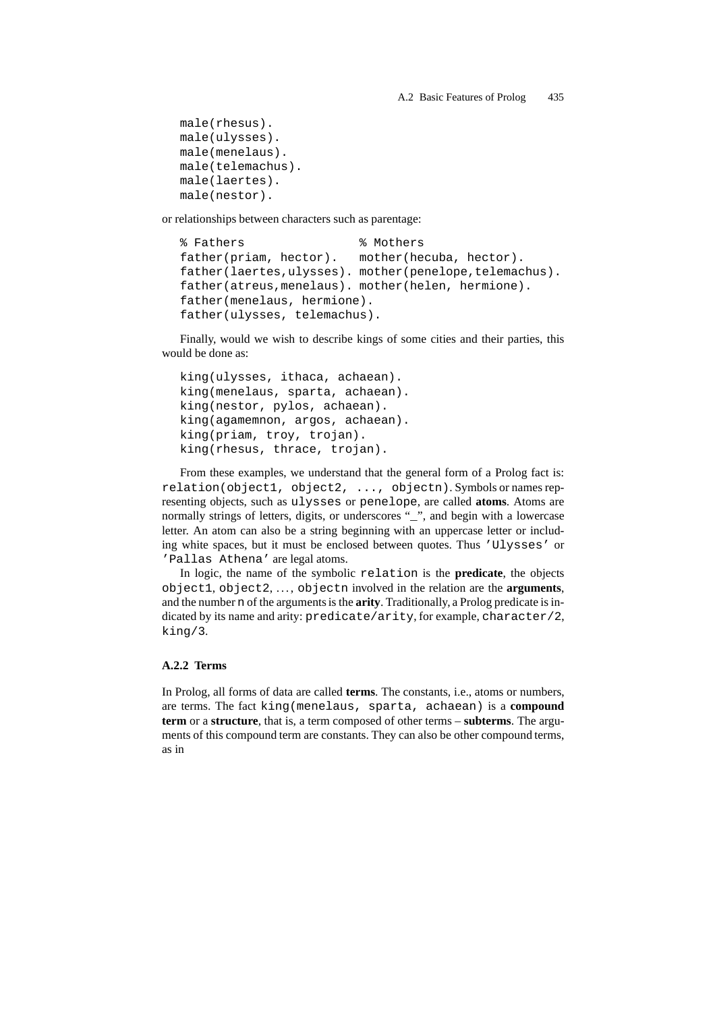```
male(rhesus).
male(ulysses).
male(menelaus).
male(telemachus).
male(laertes).
male(nestor).
```
or relationships between characters such as parentage:

```
% Fathers % Mothers
father(priam, hector). mother(hecuba, hector).
father(laertes,ulysses). mother(penelope,telemachus).
father(atreus,menelaus). mother(helen, hermione).
father(menelaus, hermione).
father(ulysses, telemachus).
```
Finally, would we wish to describe kings of some cities and their parties, this would be done as:

```
king(ulysses, ithaca, achaean).
king(menelaus, sparta, achaean).
king(nestor, pylos, achaean).
king(agamemnon, argos, achaean).
king(priam, troy, trojan).
king(rhesus, thrace, trojan).
```
From these examples, we understand that the general form of a Prolog fact is: relation(object1, object2, ..., objectn). Symbols or names representing objects, such as ulysses or penelope, are called **atoms**. Atoms are normally strings of letters, digits, or underscores "\_", and begin with a lowercase letter. An atom can also be a string beginning with an uppercase letter or including white spaces, but it must be enclosed between quotes. Thus 'Ulysses' or 'Pallas Athena' are legal atoms.

In logic, the name of the symbolic relation is the **predicate**, the objects object1, object2, . . . , objectn involved in the relation are the **arguments**, and the number n of the arguments is the **arity**. Traditionally, a Prolog predicate is indicated by its name and arity: predicate/arity, for example, character/2, king/3.

## **A.2.2 Terms**

In Prolog, all forms of data are called **terms**. The constants, i.e., atoms or numbers, are terms. The fact king(menelaus, sparta, achaean) is a **compound term** or a **structure**, that is, a term composed of other terms – **subterms**. The arguments of this compound term are constants. They can also be other compound terms, as in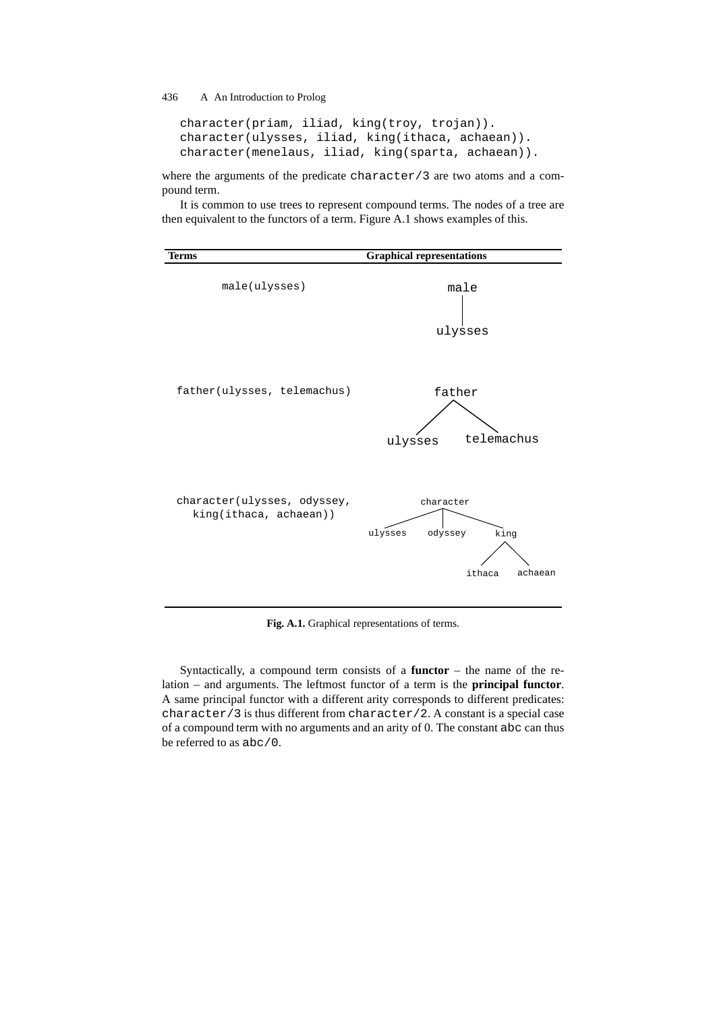```
character(priam, iliad, king(troy, trojan)).
character(ulysses, iliad, king(ithaca, achaean)).
character(menelaus, iliad, king(sparta, achaean)).
```
where the arguments of the predicate character/3 are two atoms and a compound term.

It is common to use trees to represent compound terms. The nodes of a tree are then equivalent to the functors of a term. Figure A.1 shows examples of this.



**Fig. A.1.** Graphical representations of terms.

Syntactically, a compound term consists of a **functor** – the name of the relation – and arguments. The leftmost functor of a term is the **principal functor**. A same principal functor with a different arity corresponds to different predicates: character/3 is thus different from character/2. A constant is a special case of a compound term with no arguments and an arity of 0. The constant abc can thus be referred to as abc/0.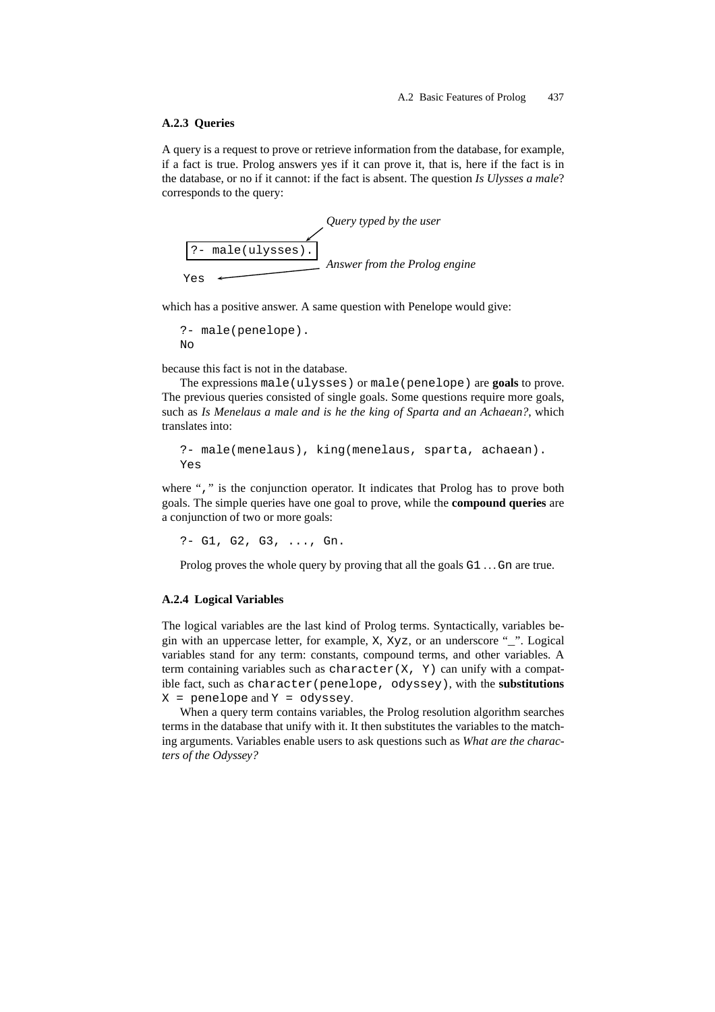#### **A.2.3 Queries**

A query is a request to prove or retrieve information from the database, for example, if a fact is true. Prolog answers yes if it can prove it, that is, here if the fact is in the database, or no if it cannot: if the fact is absent. The question *Is Ulysses a male*? corresponds to the query:



which has a positive answer. A same question with Penelope would give:

```
?- male(penelope).
N<sub>O</sub>
```
because this fact is not in the database.

The expressions male(ulysses) or male(penelope) are **goals** to prove. The previous queries consisted of single goals. Some questions require more goals, such as *Is Menelaus a male and is he the king of Sparta and an Achaean?*, which translates into:

```
?- male(menelaus), king(menelaus, sparta, achaean).
Yes
```
where "," is the conjunction operator. It indicates that Prolog has to prove both goals. The simple queries have one goal to prove, while the **compound queries** are a conjunction of two or more goals:

?- G1, G2, G3, ..., Gn.

Prolog proves the whole query by proving that all the goals G1 ... Gn are true.

#### **A.2.4 Logical Variables**

The logical variables are the last kind of Prolog terms. Syntactically, variables begin with an uppercase letter, for example, X, Xyz, or an underscore "\_". Logical variables stand for any term: constants, compound terms, and other variables. A term containing variables such as character( $X$ ,  $Y$ ) can unify with a compatible fact, such as character(penelope, odyssey), with the **substitutions**  $X =$  penelope and  $Y =$  odyssey.

When a query term contains variables, the Prolog resolution algorithm searches terms in the database that unify with it. It then substitutes the variables to the matching arguments. Variables enable users to ask questions such as *What are the characters of the Odyssey?*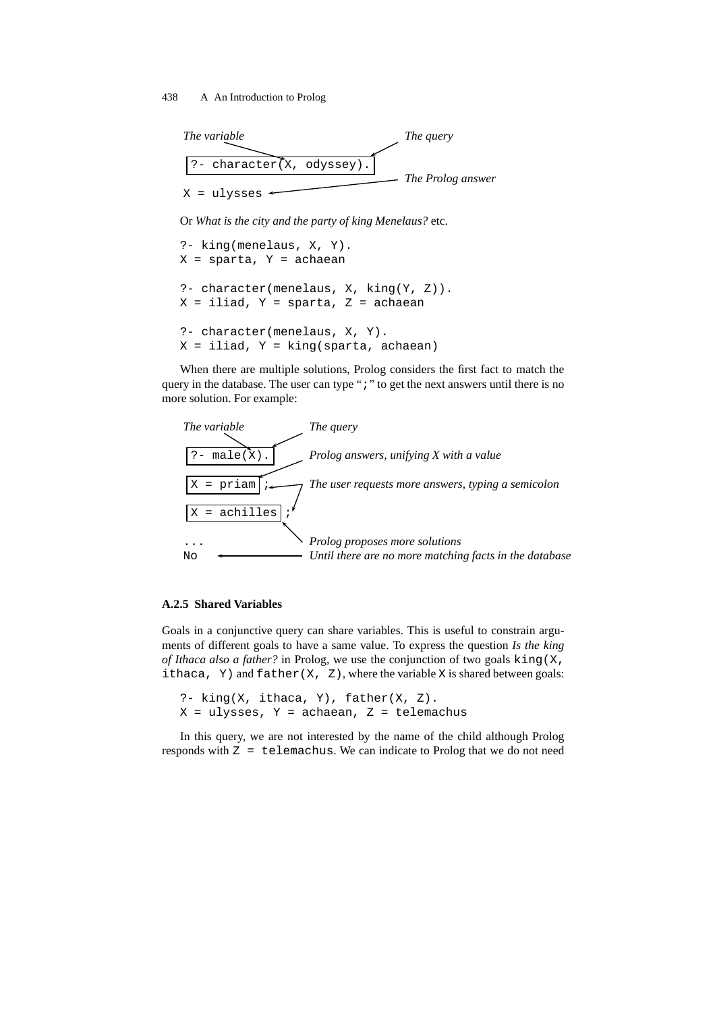

 $X = 1$ liad,  $Y =$  king(sparta, achaean)

When there are multiple solutions, Prolog considers the first fact to match the query in the database. The user can type ";" to get the next answers until there is no more solution. For example:



## **A.2.5 Shared Variables**

Goals in a conjunctive query can share variables. This is useful to constrain arguments of different goals to have a same value. To express the question *Is the king of Ithaca also a father?* in Prolog, we use the conjunction of two goals king(X, ithaca,  $Y$ ) and father(X,  $Z$ ), where the variable X is shared between goals:

?-  $king(X, ithaca, Y), father(X, Z).$  $X = ulysses, Y = achaean, Z = telemachus$ 

In this query, we are not interested by the name of the child although Prolog responds with Z = telemachus. We can indicate to Prolog that we do not need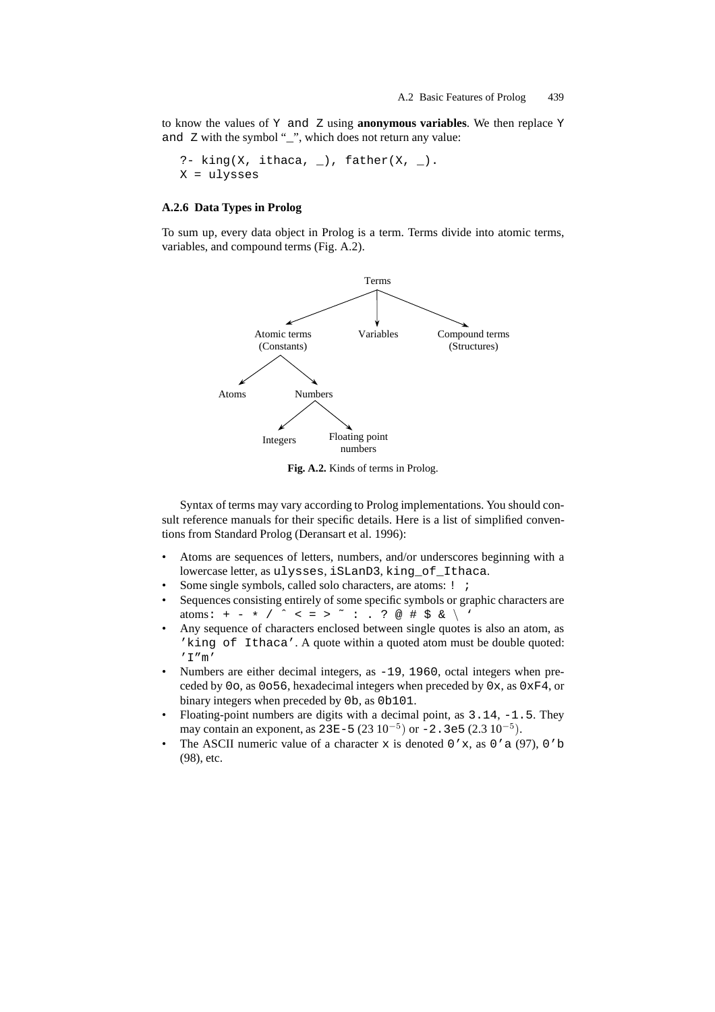to know the values of Y and Z using **anonymous variables**. We then replace Y and Z with the symbol "\_", which does not return any value:

?-  $king(X, ithaca, \_)$ ,  $father(X, \_)$ . X = ulysses

# **A.2.6 Data Types in Prolog**

To sum up, every data object in Prolog is a term. Terms divide into atomic terms, variables, and compound terms (Fig. A.2).



**Fig. A.2.** Kinds of terms in Prolog.

Syntax of terms may vary according to Prolog implementations. You should consult reference manuals for their specific details. Here is a list of simplified conventions from Standard Prolog (Deransart et al. 1996):

- Atoms are sequences of letters, numbers, and/or underscores beginning with a lowercase letter, as ulysses, iSLanD3, king\_of\_Ithaca.
- Some single symbols, called solo characters, are atoms: ! ;
- Sequences consisting entirely of some specific symbols or graphic characters are atoms: + - \* / ^ < = > ~ : . ? @ # \$ & \ '
- Any sequence of characters enclosed between single quotes is also an atom, as 'king of Ithaca'. A quote within a quoted atom must be double quoted: 'I"m'
- Numbers are either decimal integers, as -19, 1960, octal integers when preceded by 0o, as 0o56, hexadecimal integers when preceded by 0x, as 0xF4, or binary integers when preceded by 0b, as 0b101.
- Floating-point numbers are digits with a decimal point, as  $3.14$ ,  $-1.5$ . They may contain an exponent, as  $23E - 5 (23 10^{-5})$  or  $-2$  . 3e5  $(2.3 10^{-5})$ .
- The ASCII numeric value of a character x is denoted  $0'x$ , as  $0'a$  (97),  $0'b$ (98), etc.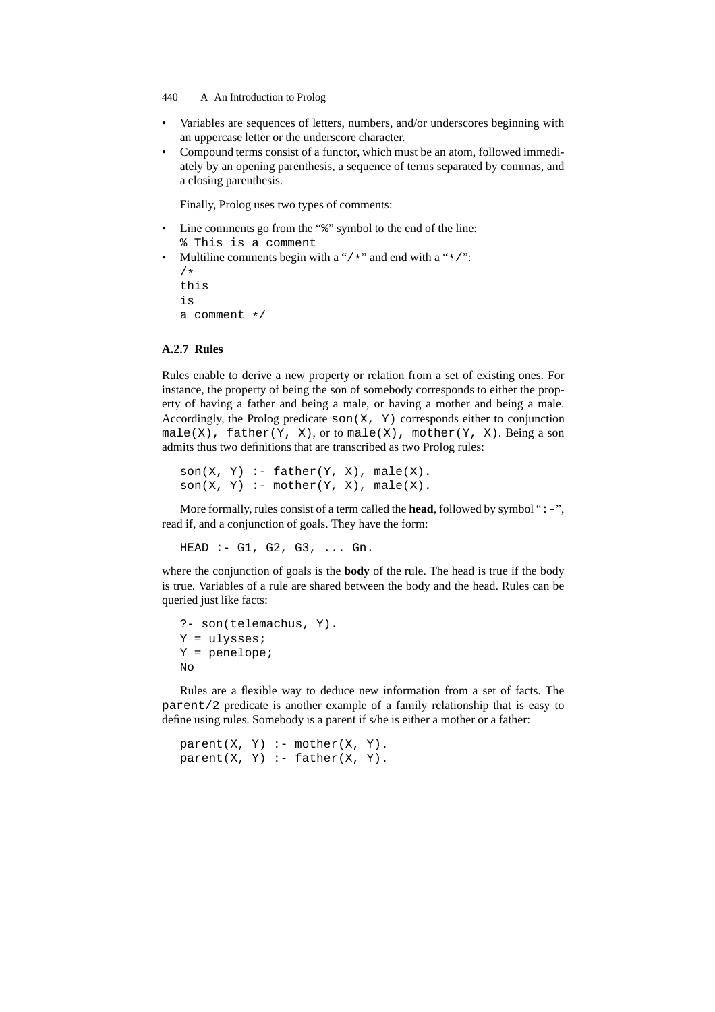- Variables are sequences of letters, numbers, and/or underscores beginning with an uppercase letter or the underscore character.
- Compound terms consist of a functor, which must be an atom, followed immediately by an opening parenthesis, a sequence of terms separated by commas, and a closing parenthesis.

Finally, Prolog uses two types of comments:

- Line comments go from the "%" symbol to the end of the line: % This is a comment
- Multiline comments begin with a "/ $\star$ " and end with a " $\star$ /":

```
/*
this
is
a comment */
```
## **A.2.7 Rules**

Rules enable to derive a new property or relation from a set of existing ones. For instance, the property of being the son of somebody corresponds to either the property of having a father and being a male, or having a mother and being a male. Accordingly, the Prolog predicate  $son(X, Y)$  corresponds either to conjunction  $male(X)$ ,  $father(Y, X)$ , or to  $male(X)$ , mother(Y, X). Being a son admits thus two definitions that are transcribed as two Prolog rules:

```
son(X, Y) :- father(Y, X), male(X).
son(X, Y) :- mother(Y, X), male(X).
```
More formally, rules consist of a term called the **head**, followed by symbol ": -", read if, and a conjunction of goals. They have the form:

HEAD :- G1, G2, G3, ... Gn.

where the conjunction of goals is the **body** of the rule. The head is true if the body is true. Variables of a rule are shared between the body and the head. Rules can be queried just like facts:

```
?- son(telemachus, Y).
Y = ulysses;
Y = penelope;
No
```
Rules are a flexible way to deduce new information from a set of facts. The parent/2 predicate is another example of a family relationship that is easy to define using rules. Somebody is a parent if s/he is either a mother or a father:

```
parent(X, Y) :- mother(X, Y).parent(X, Y) :- father(X, Y).
```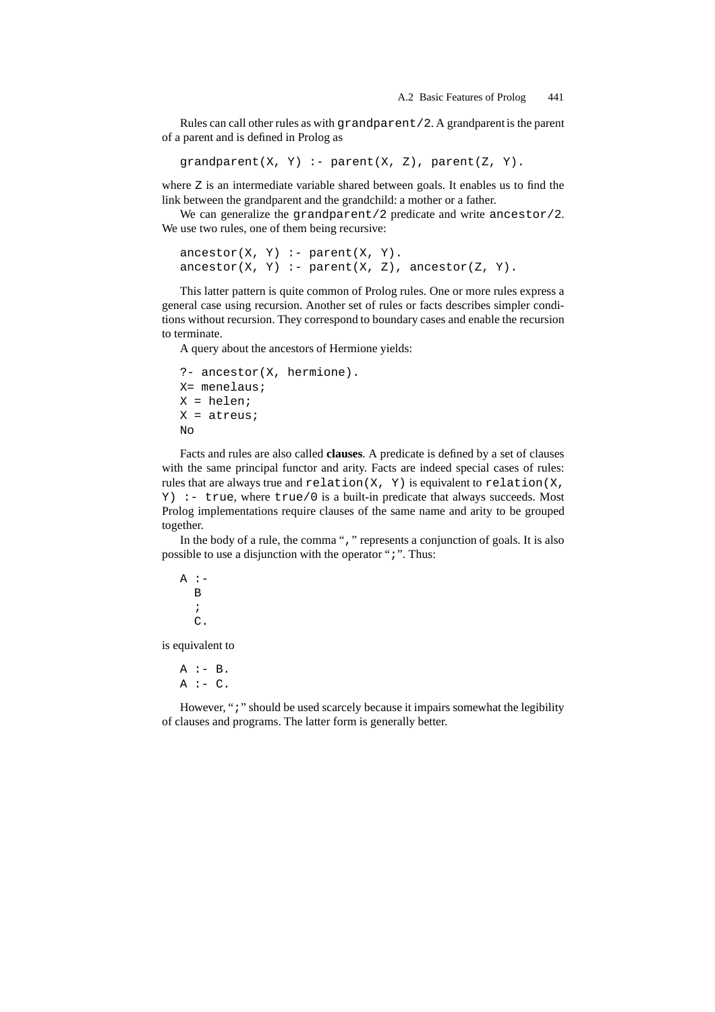Rules can call other rules as with grandparent/2. A grandparent is the parent of a parent and is defined in Prolog as

```
grandparent(X, Y) :- parent(X, Z), parent(Z, Y).
```
where Z is an intermediate variable shared between goals. It enables us to find the link between the grandparent and the grandchild: a mother or a father.

We can generalize the grandparent/2 predicate and write ancestor/2. We use two rules, one of them being recursive:

```
\text{ancestor}(X, Y) \text{ :- parent}(X, Y).
\texttt{ancestor}(X, Y) \text{ :- parent}(X, Z), \texttt{ancestor}(Z, Y).
```
This latter pattern is quite common of Prolog rules. One or more rules express a general case using recursion. Another set of rules or facts describes simpler conditions without recursion. They correspond to boundary cases and enable the recursion to terminate.

A query about the ancestors of Hermione yields:

```
?- ancestor(X, hermione).
X= menelaus;
X = helen;
X = \text{atreus}N<sub>O</sub>
```
Facts and rules are also called **clauses**. A predicate is defined by a set of clauses with the same principal functor and arity. Facts are indeed special cases of rules: rules that are always true and relation( $X$ ,  $Y$ ) is equivalent to relation( $X$ ,  $Y$ ) :- true, where true/0 is a built-in predicate that always succeeds. Most Prolog implementations require clauses of the same name and arity to be grouped together.

In the body of a rule, the comma "," represents a conjunction of goals. It is also possible to use a disjunction with the operator ";". Thus:

```
A : -B
  ;
  C.
```
is equivalent to

 $A : - B.$  $A : C.$ 

However, ";" should be used scarcely because it impairs somewhat the legibility of clauses and programs. The latter form is generally better.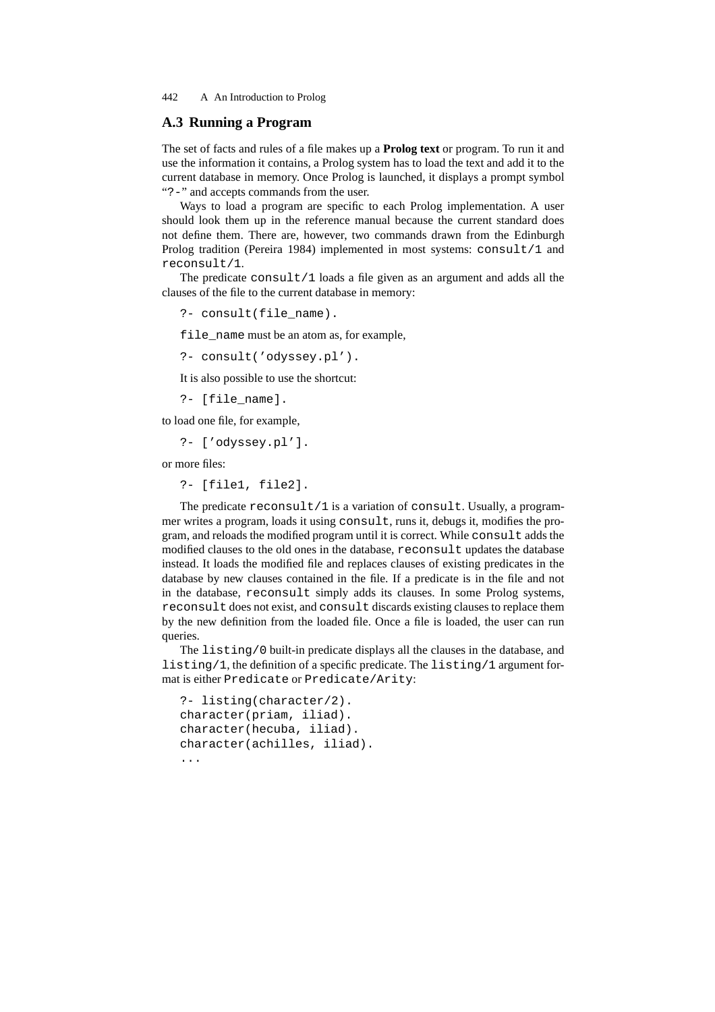## **A.3 Running a Program**

The set of facts and rules of a file makes up a **Prolog text** or program. To run it and use the information it contains, a Prolog system has to load the text and add it to the current database in memory. Once Prolog is launched, it displays a prompt symbol "?-" and accepts commands from the user.

Ways to load a program are specific to each Prolog implementation. A user should look them up in the reference manual because the current standard does not define them. There are, however, two commands drawn from the Edinburgh Prolog tradition (Pereira 1984) implemented in most systems: consult/1 and reconsult/1.

The predicate  $\text{const}$  /1 loads a file given as an argument and adds all the clauses of the file to the current database in memory:

?- consult(file\_name).

file name must be an atom as, for example,

?- consult('odyssey.pl').

It is also possible to use the shortcut:

?- [file\_name].

to load one file, for example,

?- ['odyssey.pl'].

or more files:

?- [file1, file2].

The predicate reconsult/1 is a variation of consult. Usually, a programmer writes a program, loads it using consult, runs it, debugs it, modifies the program, and reloads the modified program until it is correct. While consult adds the modified clauses to the old ones in the database, reconsult updates the database instead. It loads the modified file and replaces clauses of existing predicates in the database by new clauses contained in the file. If a predicate is in the file and not in the database, reconsult simply adds its clauses. In some Prolog systems, reconsult does not exist, and consult discards existing clauses to replace them by the new definition from the loaded file. Once a file is loaded, the user can run queries.

The listing/0 built-in predicate displays all the clauses in the database, and listing/1, the definition of a specific predicate. The listing/1 argument format is either Predicate or Predicate/Arity:

```
?- listing(character/2).
character(priam, iliad).
character(hecuba, iliad).
character(achilles, iliad).
...
```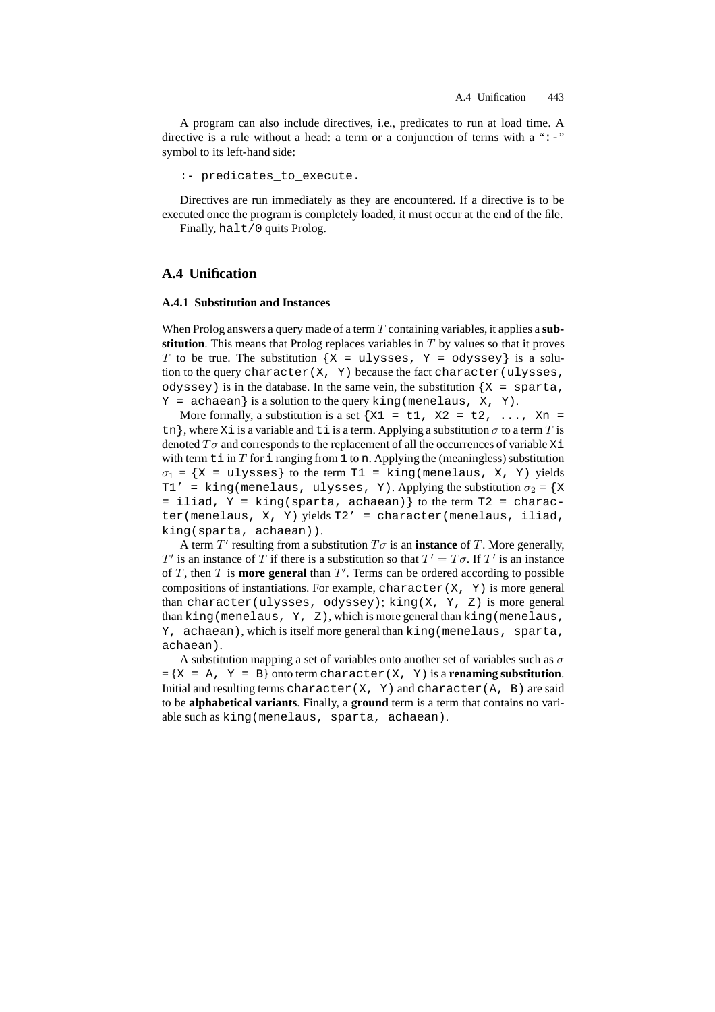A program can also include directives, i.e., predicates to run at load time. A directive is a rule without a head: a term or a conjunction of terms with a " $:-$ " symbol to its left-hand side:

:- predicates\_to\_execute.

Directives are run immediately as they are encountered. If a directive is to be executed once the program is completely loaded, it must occur at the end of the file. Finally, halt/0 quits Prolog.

# **A.4 Unification**

#### **A.4.1 Substitution and Instances**

When Prolog answers a query made of a term T containing variables, it applies a **substitution**. This means that Prolog replaces variables in T by values so that it proves T to be true. The substitution  $\{X = u\}$ ysses,  $Y = od$ yssey} is a solution to the query character( $X$ ,  $Y$ ) because the fact character(ulysses, odyssey) is in the database. In the same vein, the substitution  $\{X = \text{sparta},$  $Y = \text{achaean}$  is a solution to the query king (menelaus, X, Y).

More formally, a substitution is a set  $\{x1 = t1, x2 = t2, \ldots, xn =$ tn, where Xi is a variable and ti is a term. Applying a substitution  $\sigma$  to a term T is denoted  $T\sigma$  and corresponds to the replacement of all the occurrences of variable X<sub>1</sub> with term  $\pm i$  in T for i ranging from 1 to n. Applying the (meaningless) substitution  $\sigma_1 = \{X = \text{ulyses}\}\$  to the term T1 = king(menelaus, X, Y) yields T1' = king(menelaus, ulysses, Y). Applying the substitution  $\sigma_2 = \{X$ = iliad,  $Y =$  king(sparta, achaean) to the term T2 = character(menelaus, X, Y) yields T2' = character(menelaus, iliad, king(sparta, achaean)).

A term  $T'$  resulting from a substitution  $T\sigma$  is an **instance** of T. More generally,  $T'$  is an instance of T if there is a substitution so that  $T' = T\sigma$ . If T' is an instance of  $T$ , then  $T$  is **more general** than  $T'$ . Terms can be ordered according to possible compositions of instantiations. For example, character( $X$ ,  $Y$ ) is more general than character(ulysses, odyssey); king(X, Y, Z) is more general than king(menelaus, Y, Z), which is more general than king(menelaus, Y, achaean), which is itself more general than king(menelaus, sparta, achaean).

A substitution mapping a set of variables onto another set of variables such as  $\sigma$  $= {X = A, Y = B}$  onto term character(X, Y) is a **renaming substitution**. Initial and resulting terms character(X, Y) and character(A, B) are said to be **alphabetical variants**. Finally, a **ground** term is a term that contains no variable such as king(menelaus, sparta, achaean).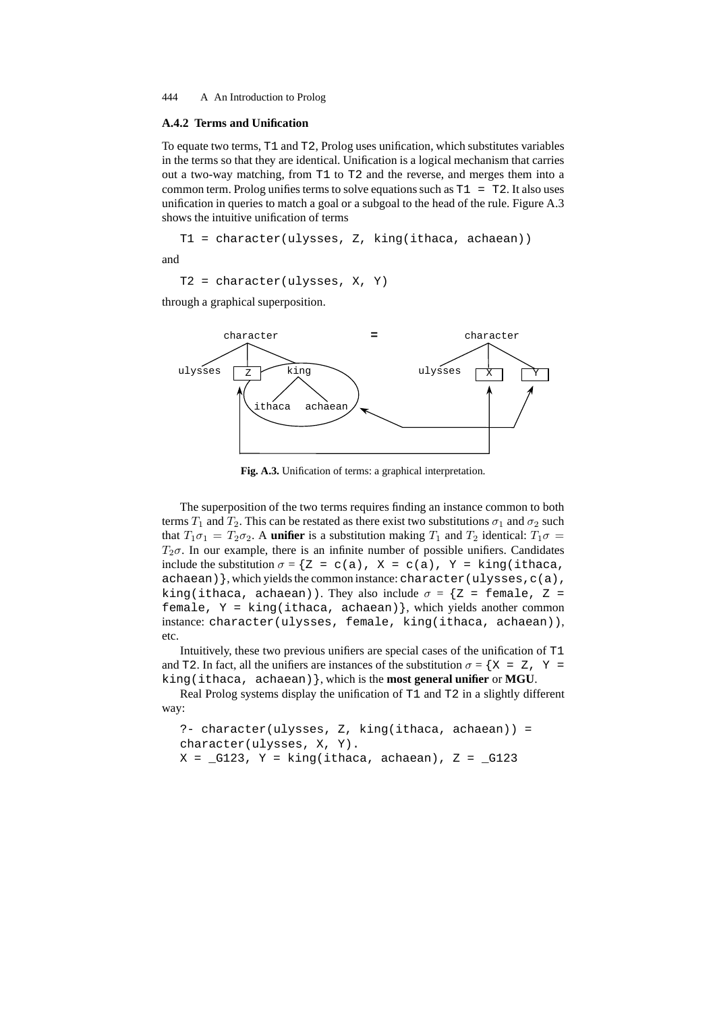#### **A.4.2 Terms and Unification**

To equate two terms, T1 and T2, Prolog uses unification, which substitutes variables in the terms so that they are identical. Unification is a logical mechanism that carries out a two-way matching, from T1 to T2 and the reverse, and merges them into a common term. Prolog unifies terms to solve equations such as  $T1 = T2$ . It also uses unification in queries to match a goal or a subgoal to the head of the rule. Figure A.3 shows the intuitive unification of terms

```
T1 = character(ulysses, Z, king(ithaca, achaean))
```
and

 $T2 = character(uysses, X, Y)$ 

through a graphical superposition.



**Fig. A.3.** Unification of terms: a graphical interpretation.

The superposition of the two terms requires finding an instance common to both terms  $T_1$  and  $T_2$ . This can be restated as there exist two substitutions  $\sigma_1$  and  $\sigma_2$  such that  $T_1\sigma_1 = T_2\sigma_2$ . A **unifier** is a substitution making  $T_1$  and  $T_2$  identical:  $T_1\sigma =$  $T_2\sigma$ . In our example, there is an infinite number of possible unifiers. Candidates include the substitution  $\sigma = \{z = c(a), x = c(a), y = k \text{ing}(i) \}$  $achaean)$ , which yields the common instance: character(ulysses,  $c(a)$ , king(ithaca, achaean)). They also include  $\sigma = \{Z = \text{female}, Z =$ female,  $Y =$  king(ithaca, achaean) }, which yields another common instance: character(ulysses, female, king(ithaca, achaean)), etc.

Intuitively, these two previous unifiers are special cases of the unification of T1 and T2. In fact, all the unifiers are instances of the substitution  $\sigma = \{X = Z, Y =$ king(ithaca, achaean)}, which is the **most general unifier** or **MGU**.

Real Prolog systems display the unification of T1 and T2 in a slightly different way:

```
?- character(ulysses, Z, king(ithaca, achaean)) =
character(ulysses, X, Y).
X = G123, Y = king(ithaca, achaean), Z = G123
```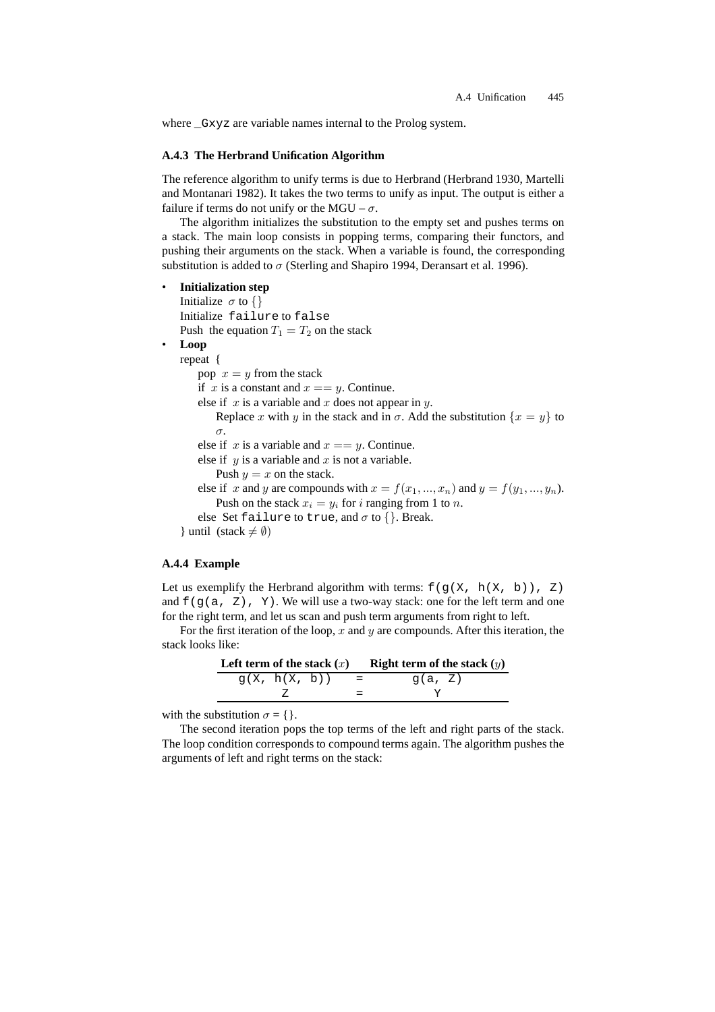where \_Gxyz are variable names internal to the Prolog system.

### **A.4.3 The Herbrand Unification Algorithm**

The reference algorithm to unify terms is due to Herbrand (Herbrand 1930, Martelli and Montanari 1982). It takes the two terms to unify as input. The output is either a failure if terms do not unify or the MGU –  $\sigma$ .

The algorithm initializes the substitution to the empty set and pushes terms on a stack. The main loop consists in popping terms, comparing their functors, and pushing their arguments on the stack. When a variable is found, the corresponding substitution is added to  $\sigma$  (Sterling and Shapiro 1994, Deransart et al. 1996).

#### • **Initialization step**

```
Initialize \sigma to \{\}Initialize failure to false
Push the equation T_1 = T_2 on the stack
```
### • **Loop**

repeat { pop  $x = y$  from the stack if x is a constant and  $x == y$ . Continue. else if  $x$  is a variable and  $x$  does not appear in  $y$ . Replace x with y in the stack and in  $\sigma$ . Add the substitution  $\{x = y\}$  to σ. else if x is a variable and  $x == y$ . Continue. else if  $y$  is a variable and  $x$  is not a variable. Push  $y = x$  on the stack. else if x and y are compounds with  $x = f(x_1, ..., x_n)$  and  $y = f(y_1, ..., y_n)$ . Push on the stack  $x_i = y_i$  for i ranging from 1 to n. else Set failure to true, and  $\sigma$  to  $\{\}$ . Break. } until (stack  $\neq \emptyset$ )

# **A.4.4 Example**

Let us exemplify the Herbrand algorithm with terms:  $f(g(X, h(X, b)), Z)$ and  $f(g(a, z), Y)$ . We will use a two-way stack: one for the left term and one for the right term, and let us scan and push term arguments from right to left.

For the first iteration of the loop,  $x$  and  $y$  are compounds. After this iteration, the stack looks like:

| Left term of the stack $(x)$ |         | <b>Right term of the stack</b> $(y)$ |
|------------------------------|---------|--------------------------------------|
| q(X, h(X, b))                | $=$ $-$ | q(a, Z)                              |
|                              |         |                                      |
|                              |         |                                      |

with the substitution  $\sigma = \{\}.$ 

The second iteration pops the top terms of the left and right parts of the stack. The loop condition corresponds to compound terms again. The algorithm pushes the arguments of left and right terms on the stack: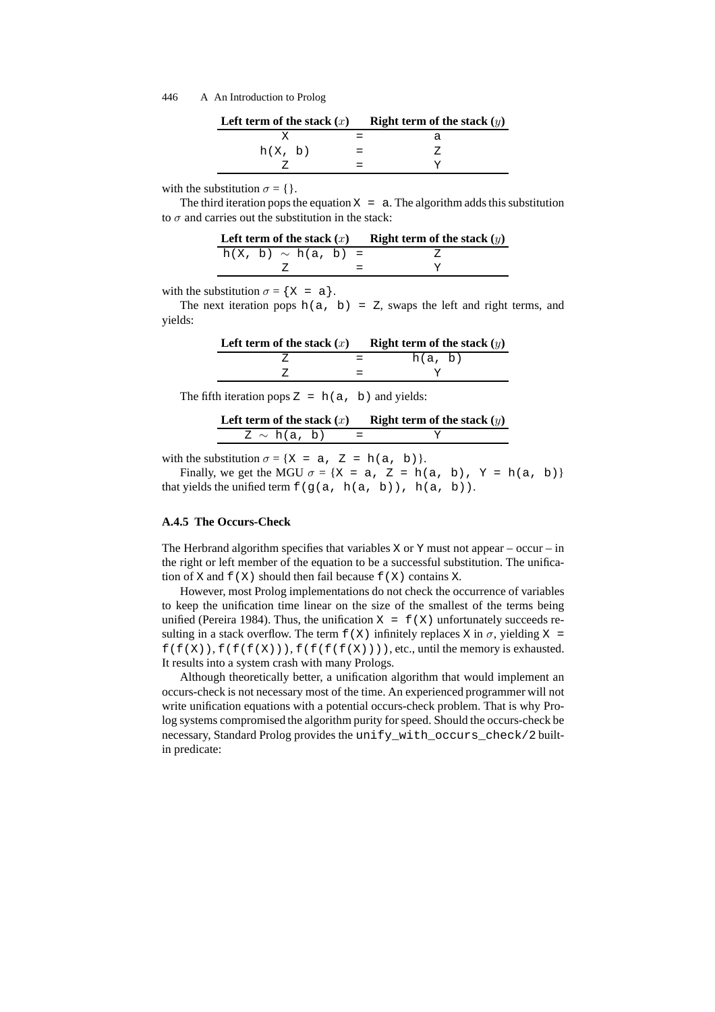| Left term of the stack $(x)$ | <b>Right term of the stack</b> $(y)$ |
|------------------------------|--------------------------------------|
|                              | а                                    |
| h(X, b)                      |                                      |
|                              |                                      |

with the substitution  $\sigma = \{\}.$ 

The third iteration pops the equation  $X = a$ . The algorithm adds this substitution to  $\sigma$  and carries out the substitution in the stack:

|  |  | Left term of the stack $(x)$ |  | <b>Right term of the stack</b> $(y)$ |
|--|--|------------------------------|--|--------------------------------------|
|  |  | $h(X, b) \sim h(a, b) =$     |  |                                      |
|  |  |                              |  |                                      |

with the substitution  $\sigma = \{X = a\}.$ 

The next iteration pops  $h(a, b) = Z$ , swaps the left and right terms, and yields:

| Left term of the stack $(x)$ |     | <b>Right term of the stack</b> $(y)$ |
|------------------------------|-----|--------------------------------------|
|                              | $=$ | h(a, b)                              |
|                              |     |                                      |

The fifth iteration pops  $Z = h(a, b)$  and yields:

| Left term of the stack $(x)$ | <b>Right term of the stack</b> $(y)$ |
|------------------------------|--------------------------------------|
| $Z \sim h(a, b)$             |                                      |

with the substitution  $\sigma = \{X = a, Z = h(a, b)\}.$ 

Finally, we get the MGU  $\sigma = \{X = a, Z = h(a, b), Y = h(a, b)\}\$ that yields the unified term  $f(g(a, h(a, b)), h(a, b))$ .

## **A.4.5 The Occurs-Check**

The Herbrand algorithm specifies that variables  $X$  or  $Y$  must not appear – occur – in the right or left member of the equation to be a successful substitution. The unification of X and  $f(X)$  should then fail because  $f(X)$  contains X.

However, most Prolog implementations do not check the occurrence of variables to keep the unification time linear on the size of the smallest of the terms being unified (Pereira 1984). Thus, the unification  $X = f(X)$  unfortunately succeeds resulting in a stack overflow. The term  $f(X)$  infinitely replaces X in  $\sigma$ , yielding X =  $f(f(X))$ ,  $f(f(f(X)))$ ,  $f(f(f(f(X)))$ , etc., until the memory is exhausted. It results into a system crash with many Prologs.

Although theoretically better, a unification algorithm that would implement an occurs-check is not necessary most of the time. An experienced programmer will not write unification equations with a potential occurs-check problem. That is why Prolog systems compromised the algorithm purity for speed. Should the occurs-check be necessary, Standard Prolog provides the unify\_with\_occurs\_check/2 builtin predicate: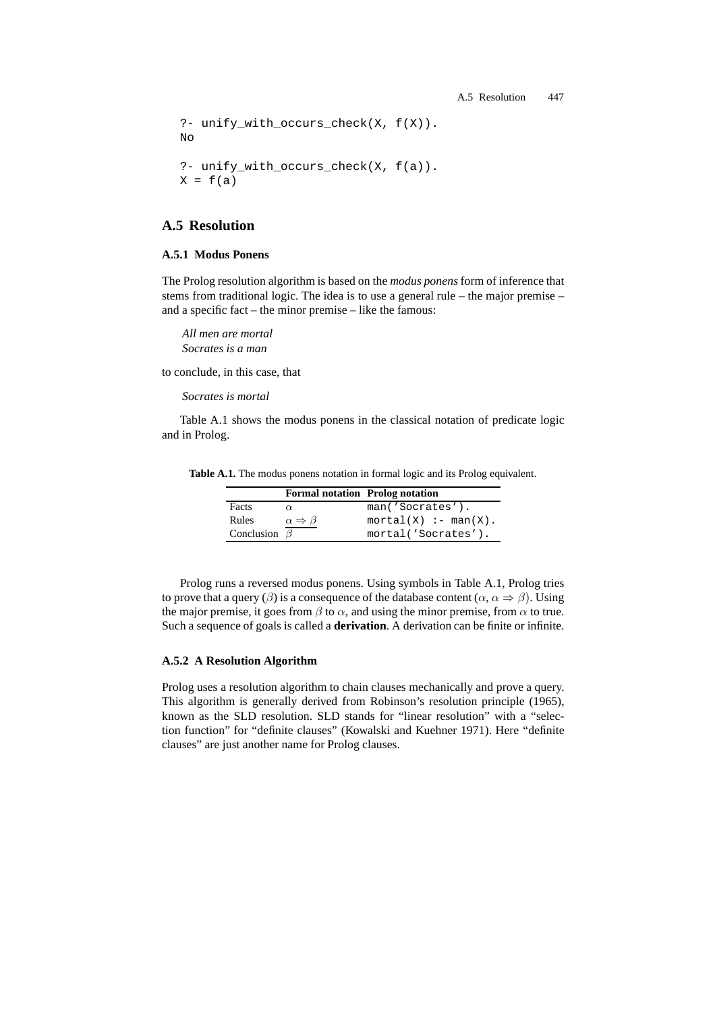```
?- unify_with_occurs_check(X, f(X)).
No
?- unify_with_occurs_check(X, f(a)).
X = f(a)
```
# **A.5 Resolution**

#### **A.5.1 Modus Ponens**

The Prolog resolution algorithm is based on the *modus ponens*form of inference that stems from traditional logic. The idea is to use a general rule – the major premise – and a specific fact – the minor premise – like the famous:

*All men are mortal Socrates is a man*

to conclude, in this case, that

*Socrates is mortal*

Table A.1 shows the modus ponens in the classical notation of predicate logic and in Prolog.

**Table A.1.** The modus ponens notation in formal logic and its Prolog equivalent.

|                    | <b>Formal notation Prolog notation</b> |                           |
|--------------------|----------------------------------------|---------------------------|
| Facts              |                                        | man('Socrates').          |
| Rules              | $\alpha \Rightarrow \beta$             | $mortal(X)$ :- $man(X)$ . |
| Conclusion $\beta$ |                                        | mortal('Socrates').       |

Prolog runs a reversed modus ponens. Using symbols in Table A.1, Prolog tries to prove that a query ( $\beta$ ) is a consequence of the database content  $(\alpha, \alpha \Rightarrow \beta)$ . Using the major premise, it goes from  $\beta$  to  $\alpha$ , and using the minor premise, from  $\alpha$  to true. Such a sequence of goals is called a **derivation**. A derivation can be finite or infinite.

### **A.5.2 A Resolution Algorithm**

Prolog uses a resolution algorithm to chain clauses mechanically and prove a query. This algorithm is generally derived from Robinson's resolution principle (1965), known as the SLD resolution. SLD stands for "linear resolution" with a "selection function" for "definite clauses" (Kowalski and Kuehner 1971). Here "definite clauses" are just another name for Prolog clauses.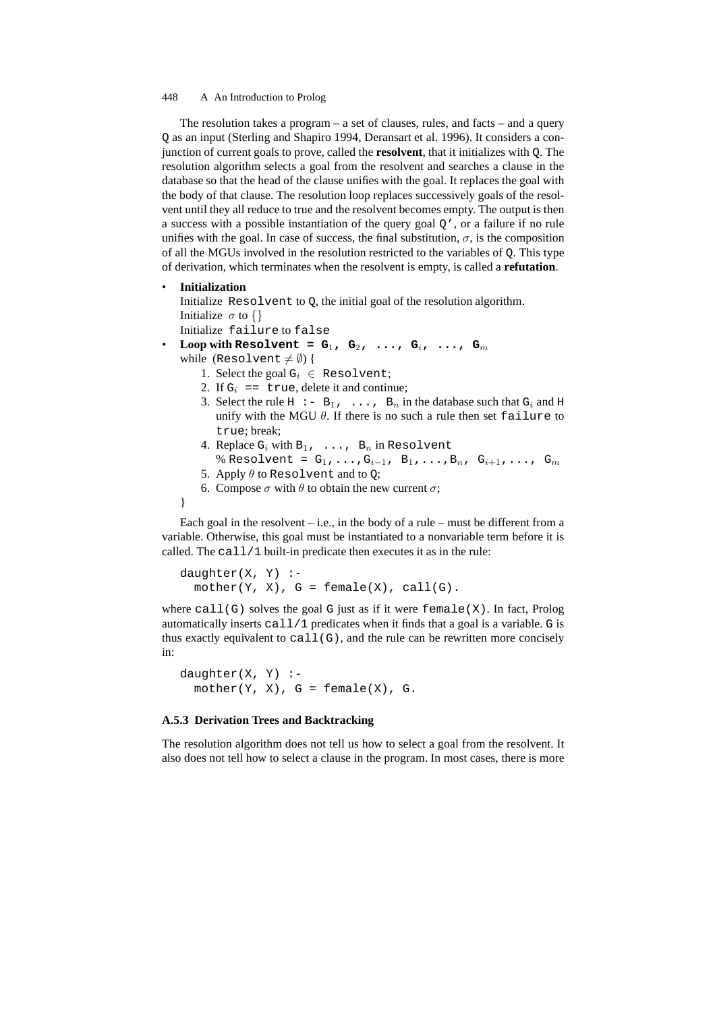The resolution takes a program – a set of clauses, rules, and facts – and a query Q as an input (Sterling and Shapiro 1994, Deransart et al. 1996). It considers a conjunction of current goals to prove, called the **resolvent**, that it initializes with Q. The resolution algorithm selects a goal from the resolvent and searches a clause in the database so that the head of the clause unifies with the goal. It replaces the goal with the body of that clause. The resolution loop replaces successively goals of the resolvent until they all reduce to true and the resolvent becomes empty. The output is then a success with a possible instantiation of the query goal Q', or a failure if no rule unifies with the goal. In case of success, the final substitution,  $\sigma$ , is the composition of all the MGUs involved in the resolution restricted to the variables of Q. This type of derivation, which terminates when the resolvent is empty, is called a **refutation**.

### • **Initialization**

Initialize Resolvent to Q, the initial goal of the resolution algorithm. Initialize  $\sigma$  to  $\{\}$ Initialize failure to false

- Loop with Resolvent =  $G_1$ ,  $G_2$ , ...,  $G_i$ , ...,  $G_m$ while (Resolvent  $\neq \emptyset$ ) {
	- 1. Select the goal  $G_i \in$  Resolvent;
	- 2. If  $G_i$  == true, delete it and continue;
	- 3. Select the rule H :-  $B_1$ , ...,  $B_n$  in the database such that  $G_i$  and H unify with the MGU  $\theta$ . If there is no such a rule then set failure to true; break;
	- 4. Replace  $G_i$  with  $B_1$ , ...,  $B_n$  in Resolvent
	- % Resolvent =  $G_1, ..., G_{i-1}$ ,  $B_1, ..., B_n$ ,  $G_{i+1}$ , ...,  $G_m$
	- 5. Apply  $\theta$  to Resolvent and to Q;
	- 6. Compose  $\sigma$  with  $\theta$  to obtain the new current  $\sigma$ ;

}

Each goal in the resolvent – i.e., in the body of a rule – must be different from a variable. Otherwise, this goal must be instantiated to a nonvariable term before it is called. The call/1 built-in predicate then executes it as in the rule:

```
daughter(X, Y) :-
 mother(Y, X), G = female(X), call(G).
```
where call(G) solves the goal G just as if it were  $f$ emale(X). In fact, Prolog automatically inserts call/1 predicates when it finds that a goal is a variable. G is thus exactly equivalent to  $call(G)$ , and the rule can be rewritten more concisely in:

daughter $(X, Y)$ : $mother(Y, X), G = female(X), G.$ 

#### **A.5.3 Derivation Trees and Backtracking**

The resolution algorithm does not tell us how to select a goal from the resolvent. It also does not tell how to select a clause in the program. In most cases, there is more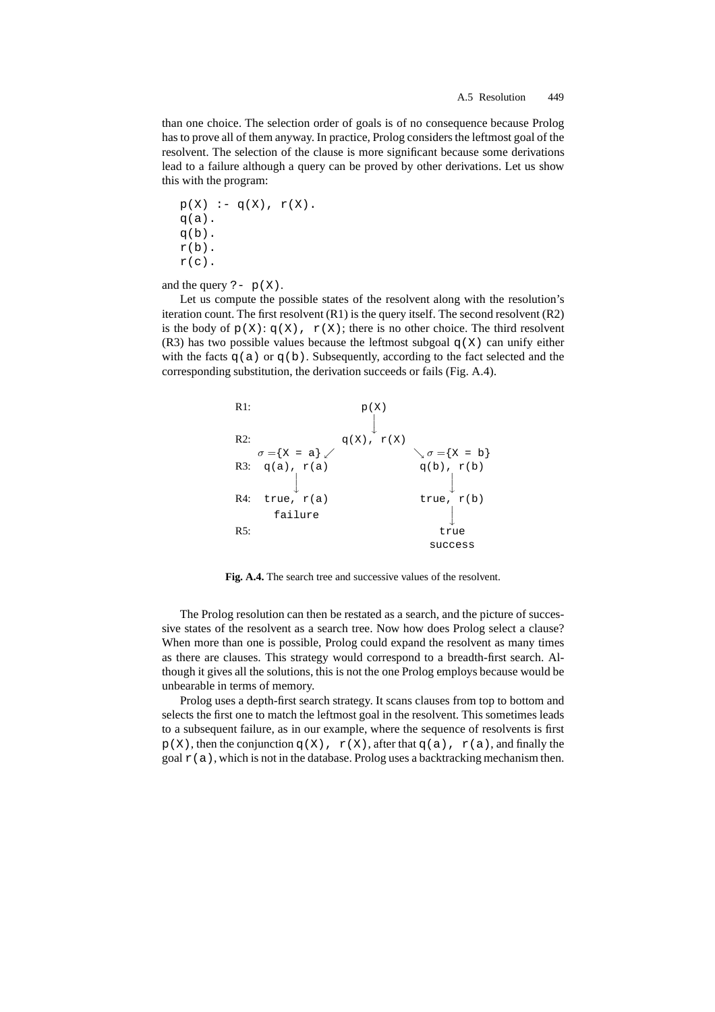than one choice. The selection order of goals is of no consequence because Prolog has to prove all of them anyway. In practice, Prolog considers the leftmost goal of the resolvent. The selection of the clause is more significant because some derivations lead to a failure although a query can be proved by other derivations. Let us show this with the program:

$$
p(X) := q(X), r(X),
$$
  
\n
$$
q(a),
$$
  
\n
$$
q(b),
$$
  
\n
$$
r(b),
$$
  
\n
$$
r(c).
$$

and the query  $? - p(X)$ .

Let us compute the possible states of the resolvent along with the resolution's iteration count. The first resolvent  $(R1)$  is the query itself. The second resolvent  $(R2)$ is the body of  $p(X): q(X)$ ,  $r(X)$ ; there is no other choice. The third resolvent (R3) has two possible values because the leftmost subgoal  $q(X)$  can unify either with the facts  $q(a)$  or  $q(b)$ . Subsequently, according to the fact selected and the corresponding substitution, the derivation succeeds or fails (Fig. A.4).



**Fig. A.4.** The search tree and successive values of the resolvent.

The Prolog resolution can then be restated as a search, and the picture of successive states of the resolvent as a search tree. Now how does Prolog select a clause? When more than one is possible, Prolog could expand the resolvent as many times as there are clauses. This strategy would correspond to a breadth-first search. Although it gives all the solutions, this is not the one Prolog employs because would be unbearable in terms of memory.

Prolog uses a depth-first search strategy. It scans clauses from top to bottom and selects the first one to match the leftmost goal in the resolvent. This sometimes leads to a subsequent failure, as in our example, where the sequence of resolvents is first  $p(X)$ , then the conjunction  $q(X)$ ,  $r(X)$ , after that  $q(a)$ ,  $r(a)$ , and finally the goal  $r(a)$ , which is not in the database. Prolog uses a backtracking mechanism then.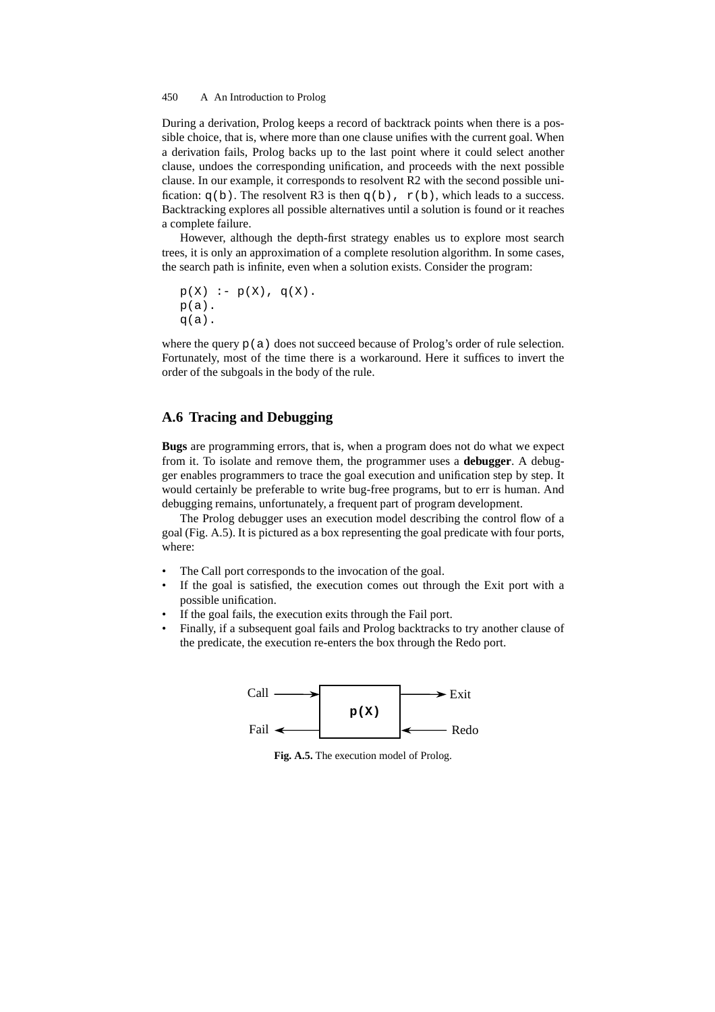During a derivation, Prolog keeps a record of backtrack points when there is a possible choice, that is, where more than one clause unifies with the current goal. When a derivation fails, Prolog backs up to the last point where it could select another clause, undoes the corresponding unification, and proceeds with the next possible clause. In our example, it corresponds to resolvent R2 with the second possible unification:  $q(b)$ . The resolvent R3 is then  $q(b)$ ,  $r(b)$ , which leads to a success. Backtracking explores all possible alternatives until a solution is found or it reaches a complete failure.

However, although the depth-first strategy enables us to explore most search trees, it is only an approximation of a complete resolution algorithm. In some cases, the search path is infinite, even when a solution exists. Consider the program:

 $p(X)$  :-  $p(X)$ ,  $q(X)$ .  $p(a)$ .  $q(a)$ .

where the query  $p(a)$  does not succeed because of Prolog's order of rule selection. Fortunately, most of the time there is a workaround. Here it suffices to invert the order of the subgoals in the body of the rule.

## **A.6 Tracing and Debugging**

**Bugs** are programming errors, that is, when a program does not do what we expect from it. To isolate and remove them, the programmer uses a **debugger**. A debugger enables programmers to trace the goal execution and unification step by step. It would certainly be preferable to write bug-free programs, but to err is human. And debugging remains, unfortunately, a frequent part of program development.

The Prolog debugger uses an execution model describing the control flow of a goal (Fig. A.5). It is pictured as a box representing the goal predicate with four ports, where:

- The Call port corresponds to the invocation of the goal.
- If the goal is satisfied, the execution comes out through the Exit port with a possible unification.
- If the goal fails, the execution exits through the Fail port.
- Finally, if a subsequent goal fails and Prolog backtracks to try another clause of the predicate, the execution re-enters the box through the Redo port.



**Fig. A.5.** The execution model of Prolog.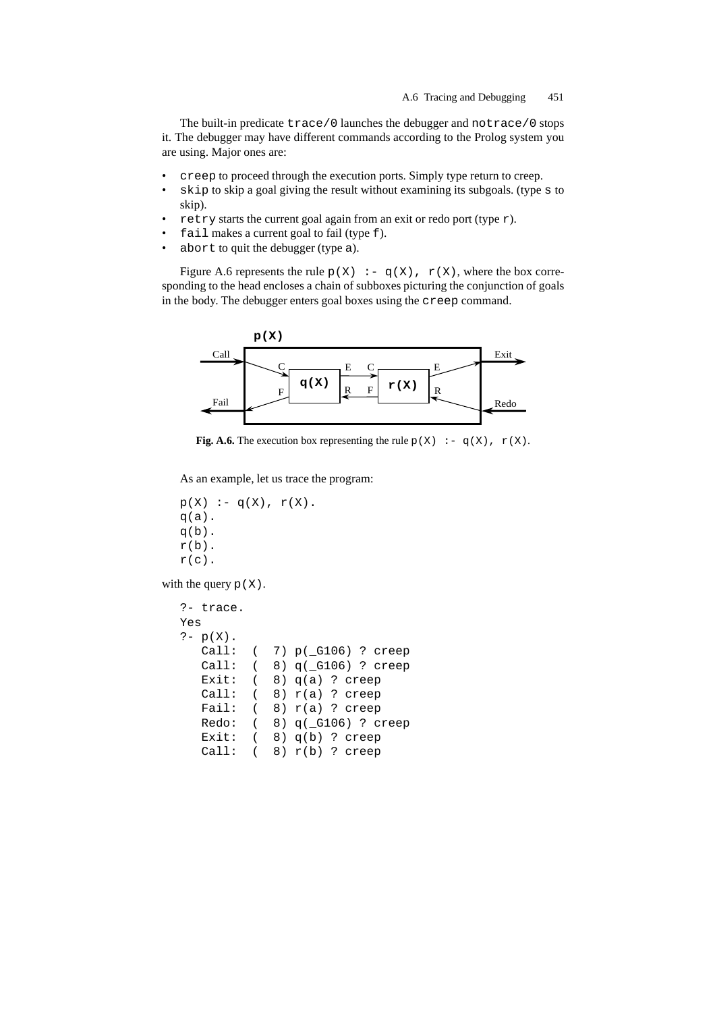The built-in predicate trace/0 launches the debugger and notrace/0 stops it. The debugger may have different commands according to the Prolog system you are using. Major ones are:

- creep to proceed through the execution ports. Simply type return to creep.
- skip to skip a goal giving the result without examining its subgoals. (type s to skip).
- retry starts the current goal again from an exit or redo port (type  $r$ ).
- fail makes a current goal to fail (type f).
- abort to quit the debugger (type a).

Figure A.6 represents the rule  $p(X) \leftarrow q(X)$ ,  $r(X)$ , where the box corresponding to the head encloses a chain of subboxes picturing the conjunction of goals in the body. The debugger enters goal boxes using the creep command.



**Fig. A.6.** The execution box representing the rule  $p(X) \div q(X)$ ,  $r(X)$ .

As an example, let us trace the program:

```
p(X) :- q(X), r(X).
q(a).
q(b).
r(b).
r(c).
```
with the query  $p(X)$ .

```
?- trace.
Yes
? - p(X).
  Call: ( 7) p(_G106) ? creep
  Call: ( 8) q(_G106) ? creep
  Exit: ( 8) q(a) ? creep
  Call: ( 8) r(a) ? creepFail: ( 8) r(a) ? creep
  Redo: ( 8) q(_G106) ? creep
  Exit: ( 8) q(b) ? creep
  Call: (8) r(b)? creep
```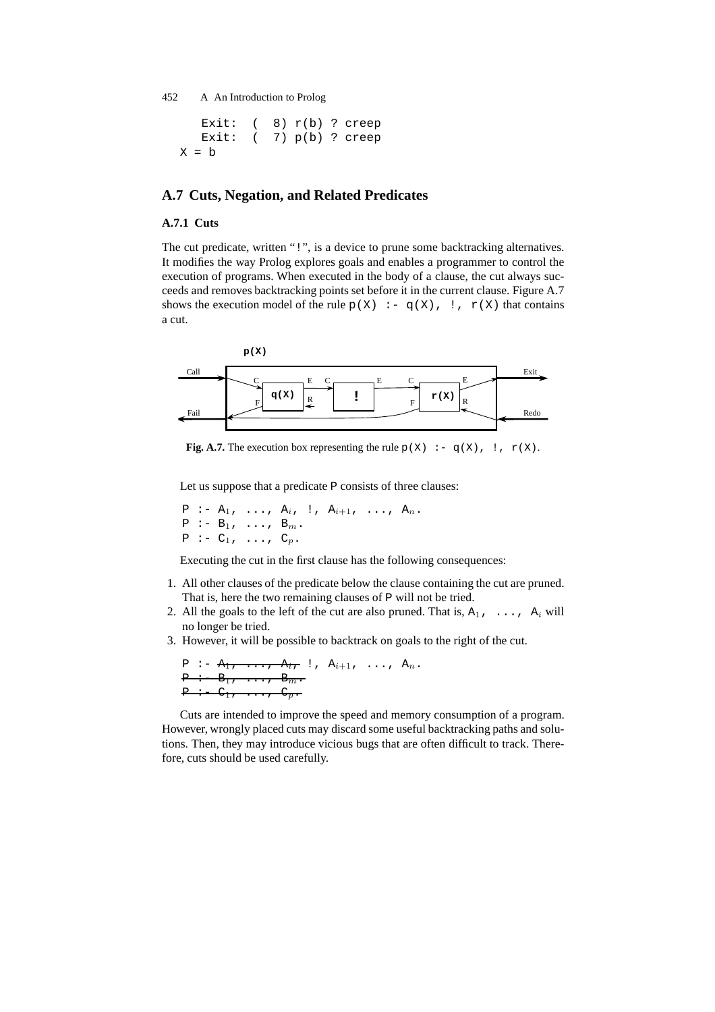Exit:  $( 8) r(b) ? creep$ Exit:  $(7) p(b)$ ? creep  $X = b$ 

## **A.7 Cuts, Negation, and Related Predicates**

## **A.7.1 Cuts**

The cut predicate, written "!", is a device to prune some backtracking alternatives. It modifies the way Prolog explores goals and enables a programmer to control the execution of programs. When executed in the body of a clause, the cut always succeeds and removes backtracking points set before it in the current clause. Figure A.7 shows the execution model of the rule  $p(X) \leftarrow q(X)$ ,  $\vdots$ ,  $r(X)$  that contains a cut.



**Fig. A.7.** The execution box representing the rule  $p(X) \div q(X)$ ,  $\vdots$ ,  $r(X)$ .

Let us suppose that a predicate P consists of three clauses:

 $P \leftarrow A_1, \ldots, A_i, \ldots, A_{i+1}, \ldots, A_n.$  $P \leftarrow B_1, \ldots, B_m.$  $P \leftarrow C_1, \ldots, C_p.$ 

Executing the cut in the first clause has the following consequences:

- 1. All other clauses of the predicate below the clause containing the cut are pruned. That is, here the two remaining clauses of P will not be tried.
- 2. All the goals to the left of the cut are also pruned. That is,  $A_1$ , ...,  $A_i$  will no longer be tried.
- 3. However, it will be possible to backtrack on goals to the right of the cut.

P := 
$$
A_1
$$
, ...,  $A_{i}$ , 1,  $A_{i+1}$ , ...,  $A_n$ .  
P :=  $B_1$ , ...,  $B_m$ .  
P :=  $C_1$ , ...,  $C_p$ .

Cuts are intended to improve the speed and memory consumption of a program. However, wrongly placed cuts may discard some useful backtracking paths and solutions. Then, they may introduce vicious bugs that are often difficult to track. Therefore, cuts should be used carefully.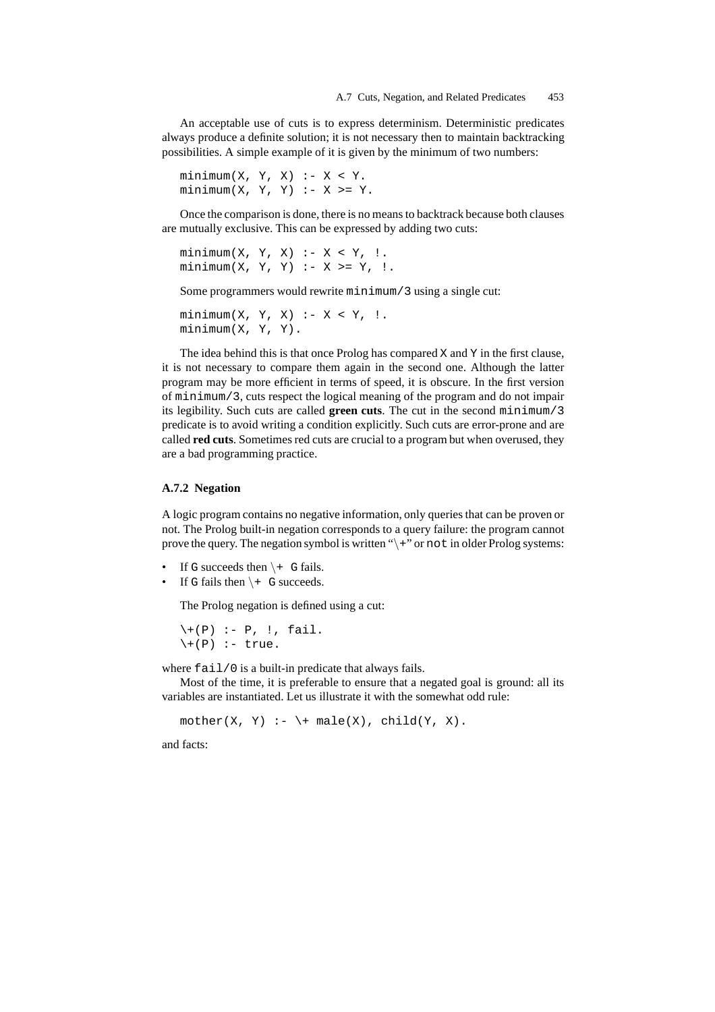An acceptable use of cuts is to express determinism. Deterministic predicates always produce a definite solution; it is not necessary then to maintain backtracking possibilities. A simple example of it is given by the minimum of two numbers:

 $minimum(X, Y, X) :- X < Y.$  $minimum(X, Y, Y) :- X >= Y.$ 

Once the comparison is done, there is no means to backtrack because both clauses are mutually exclusive. This can be expressed by adding two cuts:

```
minimum(X, Y, X) :- X < Y, !.minimum(X, Y, Y) :- X >= Y, !.
```
Some programmers would rewrite minimum/3 using a single cut:

 $minimum(X, Y, X) :- X < Y, !.$ minimum(X, Y, Y).

The idea behind this is that once Prolog has compared X and Y in the first clause, it is not necessary to compare them again in the second one. Although the latter program may be more efficient in terms of speed, it is obscure. In the first version of minimum/3, cuts respect the logical meaning of the program and do not impair its legibility. Such cuts are called **green cuts**. The cut in the second minimum/3 predicate is to avoid writing a condition explicitly. Such cuts are error-prone and are called **red cuts**. Sometimes red cuts are crucial to a program but when overused, they are a bad programming practice.

#### **A.7.2 Negation**

A logic program contains no negative information, only queries that can be proven or not. The Prolog built-in negation corresponds to a query failure: the program cannot prove the query. The negation symbol is written "\+" or not in older Prolog systems:

- If G succeeds then  $\$  + G fails.
- If G fails then  $\$  + G succeeds.

The Prolog negation is defined using a cut:

 $\setminus$ +(P) :- P, !, fail.  $\langle f + (P) : - \text{true}.$ 

where  $fail/0$  is a built-in predicate that always fails.

Most of the time, it is preferable to ensure that a negated goal is ground: all its variables are instantiated. Let us illustrate it with the somewhat odd rule:

 $mother(X, Y) :- \$  + male(X), child(Y, X).

and facts: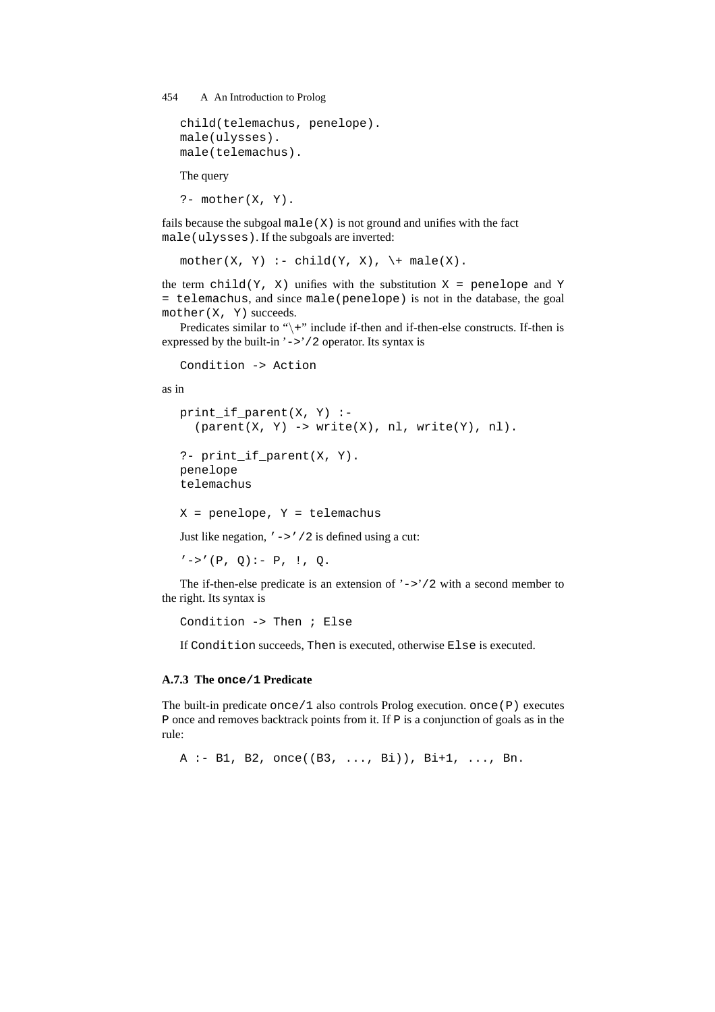```
child(telemachus, penelope).
male(ulysses).
male(telemachus).
```
The query

?- mother(X, Y).

fails because the subgoal male  $(X)$  is not ground and unifies with the fact male(ulysses). If the subgoals are inverted:

 $mother(X, Y) :- child(Y, X), \$  male(X).

the term child(Y, X) unifies with the substitution  $X =$  penelope and Y = telemachus, and since male(penelope) is not in the database, the goal mother(X, Y) succeeds.

Predicates similar to "\+" include if-then and if-then-else constructs. If-then is expressed by the built-in '->'/2 operator. Its syntax is

Condition -> Action

as in

```
print_if_parent(X, Y) :-
  (parent(X, Y) \rightarrow write(X), nl, write(Y), nl).?- print_if_parent(X, Y).
penelope
```
telemachus

```
X = penelope, Y = telemachus
```
Just like negation,  $\prime$  -> $\prime$  / 2 is defined using a cut:

```
'->' (P, Q) :- P, !, Q.
```
The if-then-else predicate is an extension of  $\prime$ -> $\prime$ /2 with a second member to the right. Its syntax is

```
Condition -> Then ; Else
```
If Condition succeeds, Then is executed, otherwise Else is executed.

### **A.7.3 The once/1 Predicate**

The built-in predicate once/1 also controls Prolog execution. once  $(P)$  executes P once and removes backtrack points from it. If P is a conjunction of goals as in the rule:

A :- B1, B2, once( $(B3, ..., Bi)$ ), Bi+1, ..., Bn.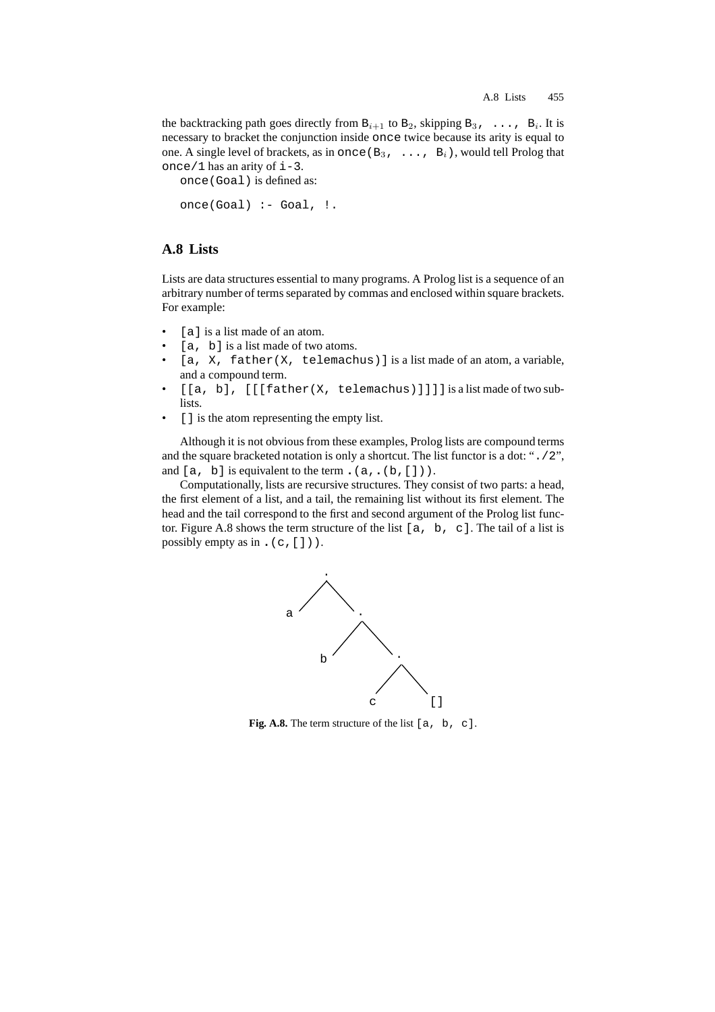the backtracking path goes directly from  $B_{i+1}$  to  $B_2$ , skipping  $B_3$ , ...,  $B_i$ . It is necessary to bracket the conjunction inside once twice because its arity is equal to one. A single level of brackets, as in once ( $B_3$ , ...,  $B_i$ ), would tell Prolog that once/1 has an arity of i-3.

once(Goal) is defined as:

once(Goal) :- Goal, !.

# **A.8 Lists**

Lists are data structures essential to many programs. A Prolog list is a sequence of an arbitrary number of terms separated by commas and enclosed within square brackets. For example:

- [a] is a list made of an atom.
- [a, b] is a list made of two atoms.
- $[a, X, \text{father}(X, \text{telemachus})]$  is a list made of an atom, a variable, and a compound term.
- [[a, b], [[[father(X, telemachus)]]]] is a list made of two sublists.
- [] is the atom representing the empty list.

Although it is not obvious from these examples, Prolog lists are compound terms and the square bracketed notation is only a shortcut. The list functor is a dot: "./2", and  $[a, b]$  is equivalent to the term  $\cdot$   $(a, \cdot(b, [])$ ).

Computationally, lists are recursive structures. They consist of two parts: a head, the first element of a list, and a tail, the remaining list without its first element. The head and the tail correspond to the first and second argument of the Prolog list functor. Figure A.8 shows the term structure of the list [a, b, c]. The tail of a list is possibly empty as in  $\cdot$  (c, [])).



Fig. A.8. The term structure of the list [a, b, c].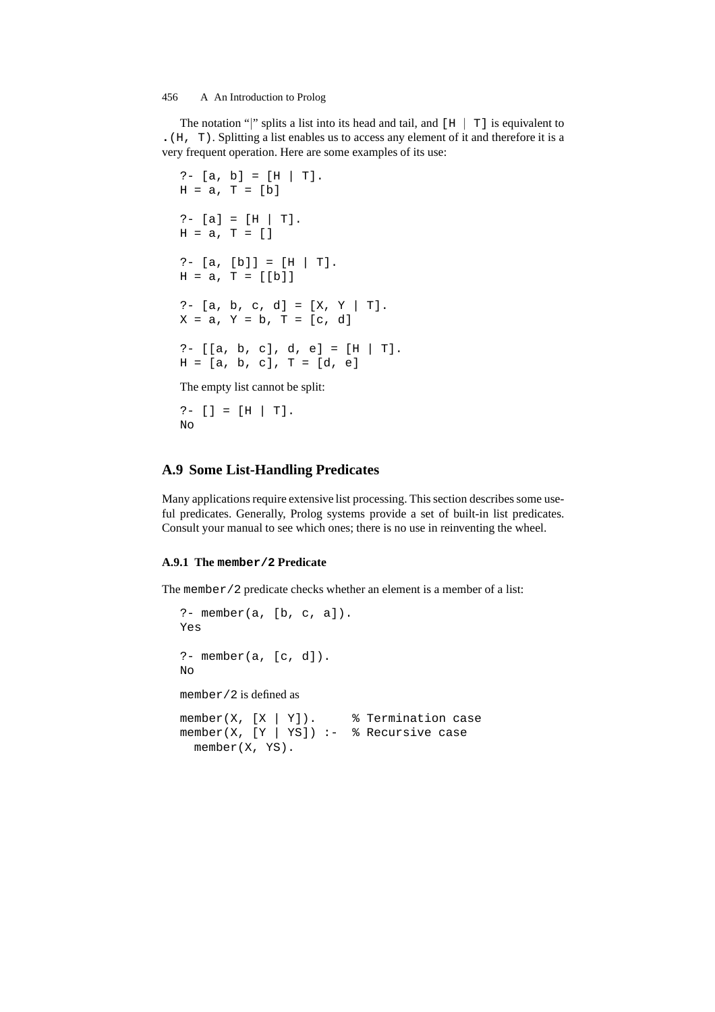The notation "|" splits a list into its head and tail, and  $[H | T]$  is equivalent to **.**(H, T). Splitting a list enables us to access any element of it and therefore it is a very frequent operation. Here are some examples of its use:

```
?- [a, b] = [H | T].H = a, T = [b]?- [a] = [H | T].
H = a, T = []?- [a, [b]] = [H | T].
H = a, T = [[b]]?- [a, b, c, d] = [X, Y | T].
X = a, Y = b, T = [c, d]?- [ [a, b, c], d, e] = [H | T].H = [a, b, c], T = [d, e]
```
The empty list cannot be split:

 $? - [ ] = [ H | T].$ No

# **A.9 Some List-Handling Predicates**

Many applications require extensive list processing. This section describes some useful predicates. Generally, Prolog systems provide a set of built-in list predicates. Consult your manual to see which ones; there is no use in reinventing the wheel.

#### **A.9.1 The member/2 Predicate**

The member/2 predicate checks whether an element is a member of a list:

```
?- member(a, [b, c, a]).
Yes
?- member(a, [c, d]).
No
member/2 is defined as
member(X, [X | Y]). \frac{1}{2} Termination case
member(X, [Y | YS]) :- % Recursive case
  member(X, YS).
```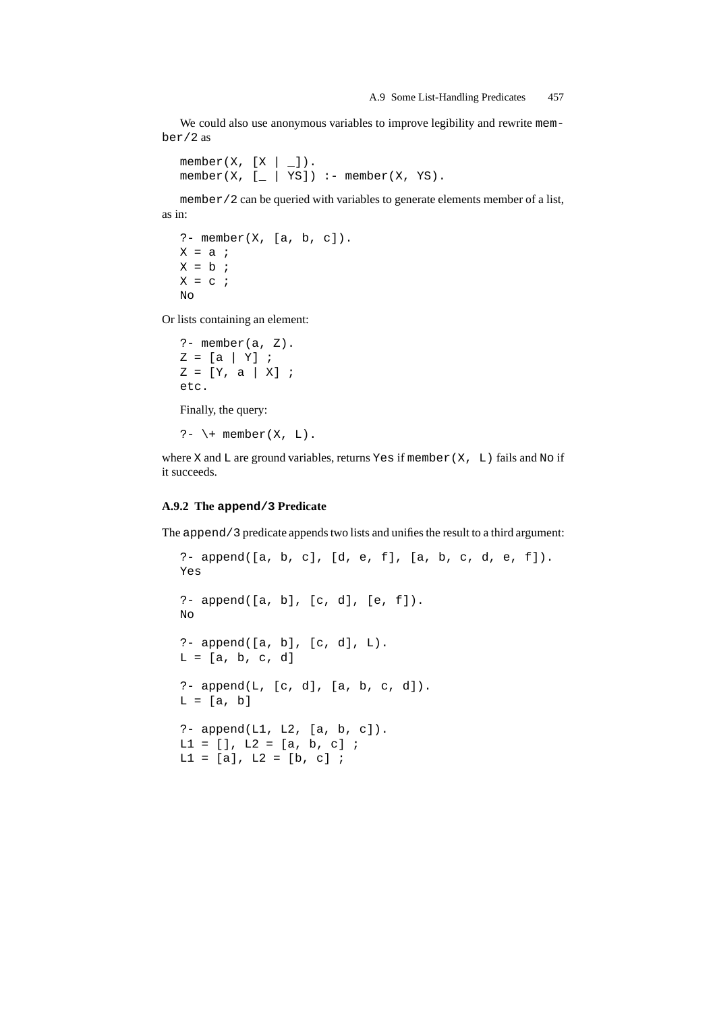We could also use anonymous variables to improve legibility and rewrite member/2 as

member(X,  $[X | ]$ ]).  $member(X, [- | YS]) :- member(X, YS).$ 

member/2 can be queried with variables to generate elements member of a list, as in:

```
?- member(X, [a, b, c]).
X = a ;
X = b ;
X = C ;
No
```
Or lists containing an element:

?- member $(a, z)$ .  $Z = [a \mid Y]$  ;  $Z = [Y, a | X];$ etc.

Finally, the query:

```
? - \ + \text{member}(X, L).
```
where X and L are ground variables, returns Yes if member  $(X, L)$  fails and No if it succeeds.

## **A.9.2 The append/3 Predicate**

The append/3 predicate appends two lists and unifies the result to a third argument:

```
?- append([a, b, c], [d, e, f], [a, b, c, d, e, f]).
Yes
?- append([a, b], [c, d], [e, f]).
No
?- append([a, b], [c, d], L).
L = [a, b, c, d]?- append(L, [c, d], [a, b, c, d]).
L = [a, b]?- append(L1, L2, [a, b, c]).
L1 = [], L2 = [a, b, c];
L1 = [a], L2 = [b, c];
```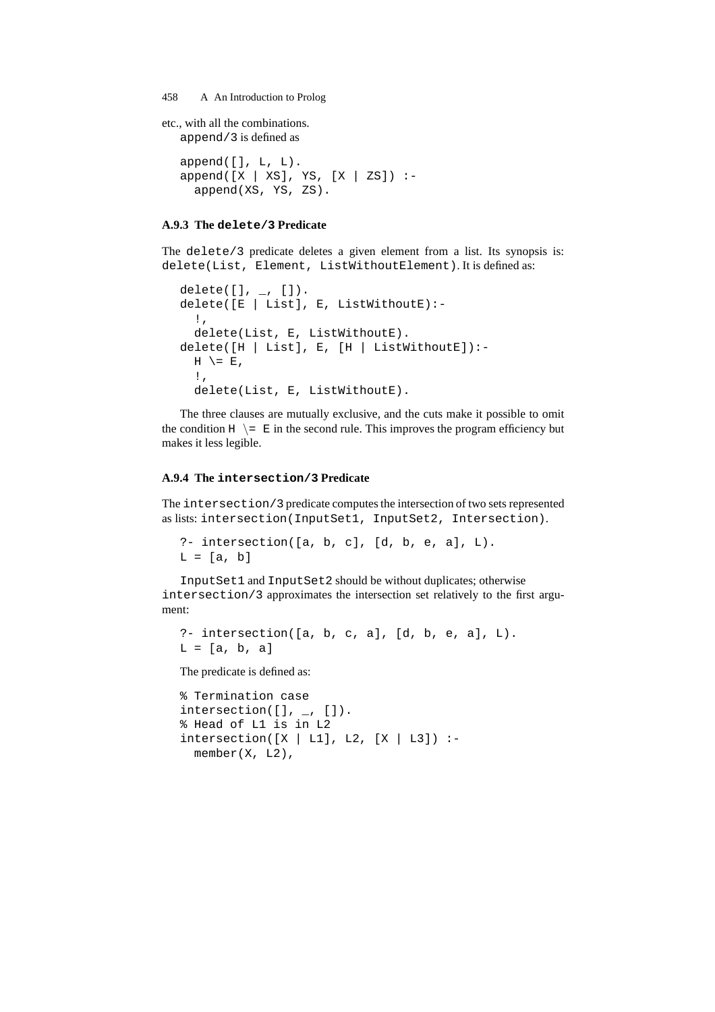```
etc., with all the combinations.
   append/3 is defined as
   append([], L, L).
```

```
append([X | XS], YS, [X | ZS]) :-
  append(XS, YS, ZS).
```
#### **A.9.3 The delete/3 Predicate**

The delete/3 predicate deletes a given element from a list. Its synopsis is: delete(List, Element, ListWithoutElement). It is defined as:

```
delete([ ] , _ - , [ ] ).
delete([E | List], E, ListWithoutE):-
  !,
  delete(List, E, ListWithoutE).
delete([H | List], E, [H | ListWithoutE]):-
  H \searrow = E,
  !,
  delete(List, E, ListWithoutE).
```
The three clauses are mutually exclusive, and the cuts make it possible to omit the condition  $H \leq E$  in the second rule. This improves the program efficiency but makes it less legible.

#### **A.9.4 The intersection/3 Predicate**

The intersection/3 predicate computes the intersection of two sets represented as lists: intersection(InputSet1, InputSet2, Intersection).

?- intersection( $[a, b, c]$ ,  $[d, b, e, a]$ ,  $L$ ).  $L = [a, b]$ 

InputSet1 and InputSet2 should be without duplicates; otherwise intersection/3 approximates the intersection set relatively to the first argument:

```
?- intersection([a, b, c, a], [d, b, e, a], L).
L = [a, b, a]
```
The predicate is defined as:

```
% Termination case
intersection([], \_, []).
% Head of L1 is in L2
intersection([X | L1], L2, [X | L3]) :-
  member(X, L2),
```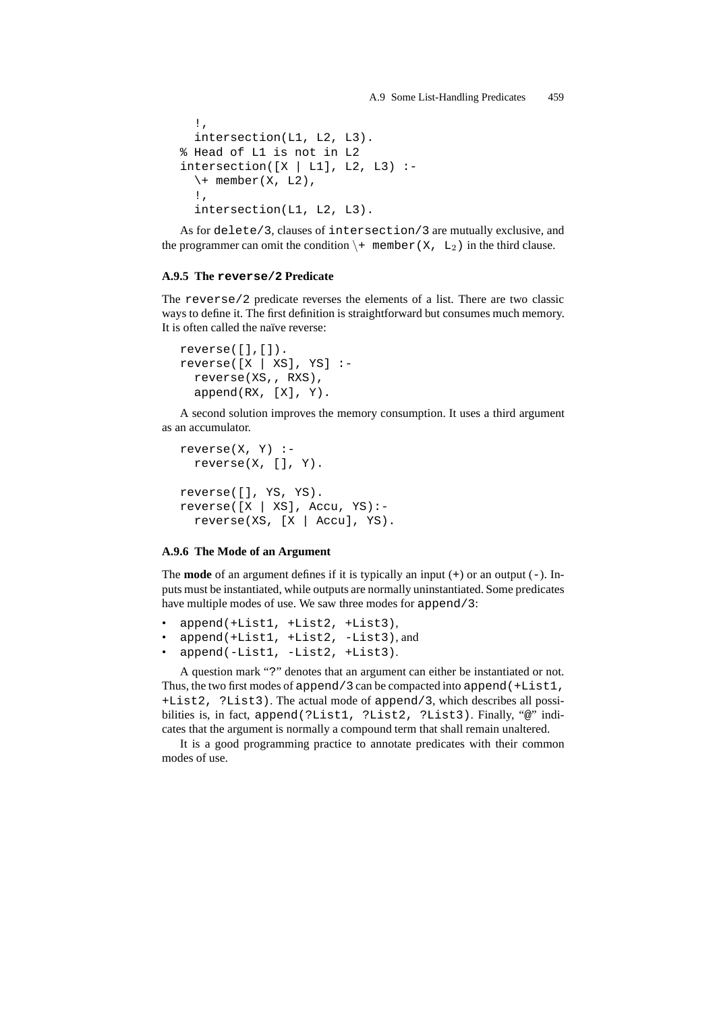```
!,
  intersection(L1, L2, L3).
% Head of L1 is not in L2
intersection([X | L1], L2, L3) :-
  \forall member(X, L2),
  !,
 intersection(L1, L2, L3).
```
As for delete/3, clauses of intersection/3 are mutually exclusive, and the programmer can omit the condition  $\rightarrow$  member (X, L<sub>2</sub>) in the third clause.

#### **A.9.5 The reverse/2 Predicate**

The reverse/2 predicate reverses the elements of a list. There are two classic ways to define it. The first definition is straightforward but consumes much memory. It is often called the naïve reverse:

```
reverse([], []).
reverse([X | XS], YS] :-
  reverse(XS,, RXS),
  append(RX, [X], Y).
```
A second solution improves the memory consumption. It uses a third argument as an accumulator.

```
reverse(X, Y):-
  reverse(X, [], Y).
reverse([], YS, YS).
reverse([X | XS], Accu, YS):reverse(XS, [X | Accu], YS).
```
### **A.9.6 The Mode of an Argument**

The **mode** of an argument defines if it is typically an input  $(+)$  or an output  $(-)$ . Inputs must be instantiated, while outputs are normally uninstantiated. Some predicates have multiple modes of use. We saw three modes for append/3:

- append(+List1, +List2, +List3),
- append(+List1, +List2, -List3), and
- append(-List1, -List2, +List3).

A question mark "?" denotes that an argument can either be instantiated or not. Thus, the two first modes of append/3 can be compacted into append (+List1, +List2, ?List3). The actual mode of append/3, which describes all possibilities is, in fact, append(?List1, ?List2, ?List3). Finally, "@" indicates that the argument is normally a compound term that shall remain unaltered.

It is a good programming practice to annotate predicates with their common modes of use.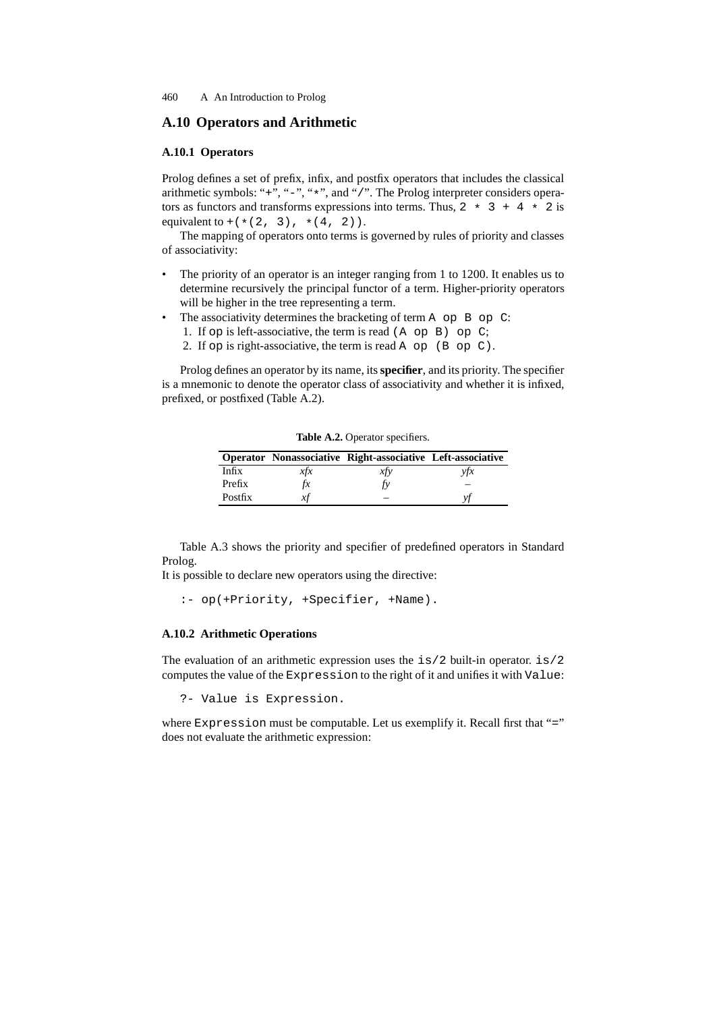## **A.10 Operators and Arithmetic**

### **A.10.1 Operators**

Prolog defines a set of prefix, infix, and postfix operators that includes the classical arithmetic symbols: "+", "-", "\*", and "/". The Prolog interpreter considers operators as functors and transforms expressions into terms. Thus,  $2 \times 3 + 4 \times 2$  is equivalent to +( $*(2, 3), * (4, 2)$ ).

The mapping of operators onto terms is governed by rules of priority and classes of associativity:

- The priority of an operator is an integer ranging from 1 to 1200. It enables us to determine recursively the principal functor of a term. Higher-priority operators will be higher in the tree representing a term.
- The associativity determines the bracketing of term  $A$  op  $B$  op  $C$ : 1. If op is left-associative, the term is read (A op B) op C;
	- 2. If op is right-associative, the term is read A op (B op C).

Prolog defines an operator by its name, its **specifier**, and its priority. The specifier is a mnemonic to denote the operator class of associativity and whether it is infixed, prefixed, or postfixed (Table A.2).

|         |     | Operator Nonassociative Right-associative Left-associative |     |
|---------|-----|------------------------------------------------------------|-----|
| Infix   | xfx | xfy                                                        | νfχ |
| Prefix  | fx  |                                                            |     |
| Postfix |     |                                                            |     |

**Table A.2.** Operator specifiers.

Table A.3 shows the priority and specifier of predefined operators in Standard Prolog.

It is possible to declare new operators using the directive:

:- op(+Priority, +Specifier, +Name).

#### **A.10.2 Arithmetic Operations**

The evaluation of an arithmetic expression uses the  $\frac{1}{5}/2$  built-in operator.  $\frac{1}{5}/2$ computes the value of the Expression to the right of it and unifies it with Value:

?- Value is Expression.

where Expression must be computable. Let us exemplify it. Recall first that "=" does not evaluate the arithmetic expression: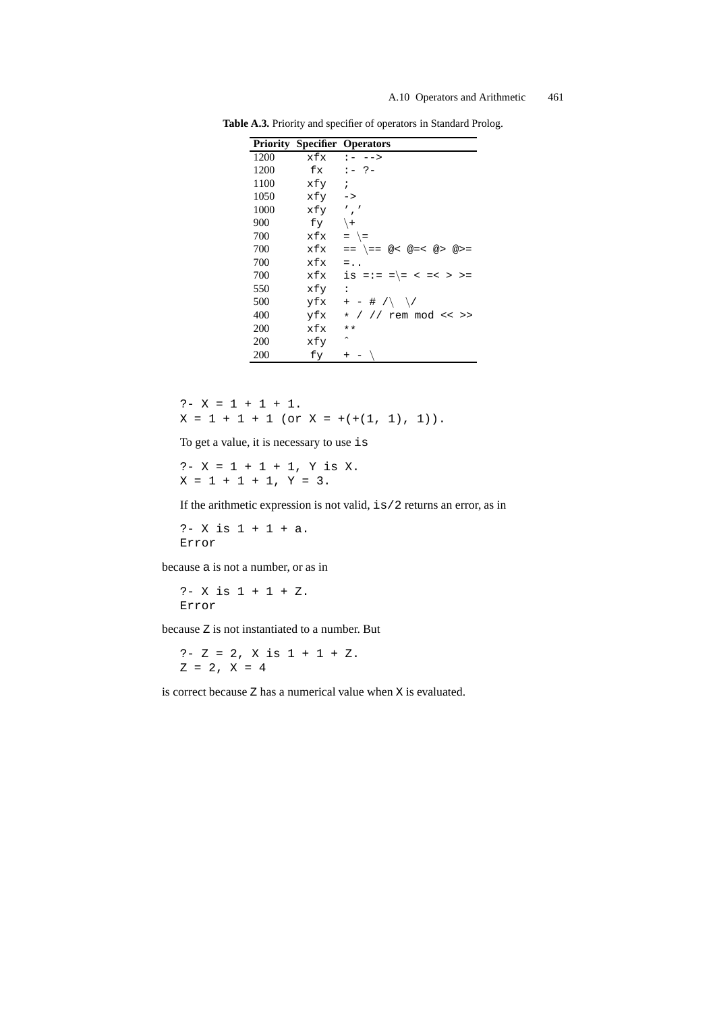|      |                   | <b>Priority Specifier Operators</b> |
|------|-------------------|-------------------------------------|
| 1200 | xfx               | $:- -->$                            |
| 1200 | fx                | $: - ? -$                           |
| 1100 | xfy ;             |                                     |
| 1050 | $xfy \rightarrow$ |                                     |
| 1000 | xfy               | $\frac{1}{2}$                       |
| 900  | fy                | $\backslash +$                      |
| 700  | $xfx = \vert =$   |                                     |
| 700  | xfx               | $==$ $ =$ $@=$ $@=$ $@>$ $@>=$      |
| 700  | xfx               | $=$                                 |
| 700  | xfx               | is =:= =\= < =< > >=                |
| 550  | xfy               |                                     |
| 500  | yfx               | $+  +$ /\ \/                        |
| 400  | yfx               | * / // rem mod << >>                |
| 200  | xfx               | $***$                               |
| 200  | xfy               | $\hat{\phantom{a}}$                 |
| 200  | fy                | $+ - \ \ \backslash$                |

**Table A.3.** Priority and specifier of operators in Standard Prolog.

$$
?- X = 1 + 1 + 1.
$$
  
X = 1 + 1 + 1 (or X = +(+(1, 1), 1)).

To get a value, it is necessary to use is

 $? - X = 1 + 1 + 1, Y$  is X.  $X = 1 + 1 + 1, Y = 3.$ 

If the arithmetic expression is not valid, is/2 returns an error, as in

?- X is 1 + 1 + a. Error

because a is not a number, or as in

?- X is 1 + 1 + Z. Error

because Z is not instantiated to a number. But

 $? - Z = 2$ , X is  $1 + 1 + Z$ .  $Z = 2, X = 4$ 

is correct because Z has a numerical value when X is evaluated.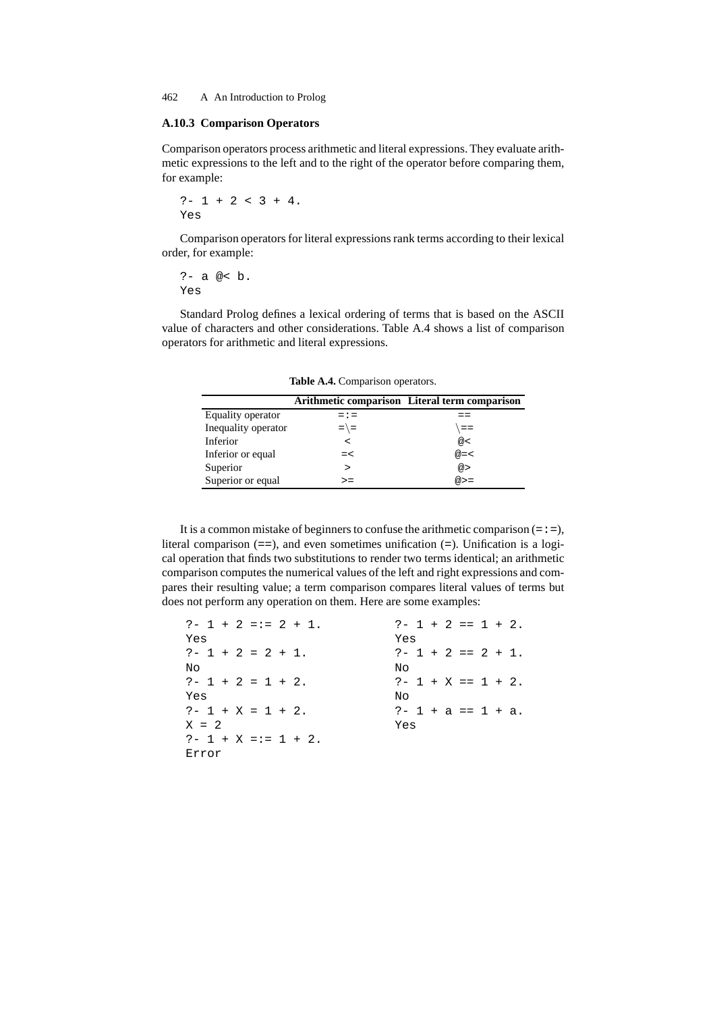#### **A.10.3 Comparison Operators**

Comparison operators process arithmetic and literal expressions. They evaluate arithmetic expressions to the left and to the right of the operator before comparing them, for example:

 $? - 1 + 2 < 3 + 4.$ Yes

Comparison operators for literal expressions rank terms according to their lexical order, for example:

?- a @< b. Yes

Standard Prolog defines a lexical ordering of terms that is based on the ASCII value of characters and other considerations. Table A.4 shows a list of comparison operators for arithmetic and literal expressions.

**Table A.4.** Comparison operators.

|                     |                    | Arithmetic comparison Literal term comparison |
|---------------------|--------------------|-----------------------------------------------|
| Equality operator   | $= 1 =$            |                                               |
| Inequality operator | $=$ $\backslash$ = | $=$ $=$                                       |
| Inferior            | $\checkmark$       | ⊚<                                            |
| Inferior or equal   | $=$ $<$            | $@=$                                          |
| Superior            |                    | @>                                            |
| Superior or equal   | $\geq$ $=$         | @>=                                           |

It is a common mistake of beginners to confuse the arithmetic comparison  $(=:-),$ literal comparison (==), and even sometimes unification (=). Unification is a logical operation that finds two substitutions to render two terms identical; an arithmetic comparison computes the numerical values of the left and right expressions and compares their resulting value; a term comparison compares literal values of terms but does not perform any operation on them. Here are some examples:

| $? - 1 + 2 = := 2 + 1.$  | $? - 1 + 2 == 1 + 2.$ |
|--------------------------|-----------------------|
| Yes                      | Yes                   |
| $? - 1 + 2 = 2 + 1.$     | $? - 1 + 2 == 2 + 1.$ |
| No                       | Nο                    |
| $? - 1 + 2 = 1 + 2$ .    | $? - 1 + X == 1 + 2.$ |
| Yes                      | Νo                    |
| $? - 1 + X = 1 + 2.$     | $? - 1 + a == 1 + a.$ |
| $X = 2$                  | Yes                   |
| $? - 1 + X = := 1 + 2$ . |                       |
| Error                    |                       |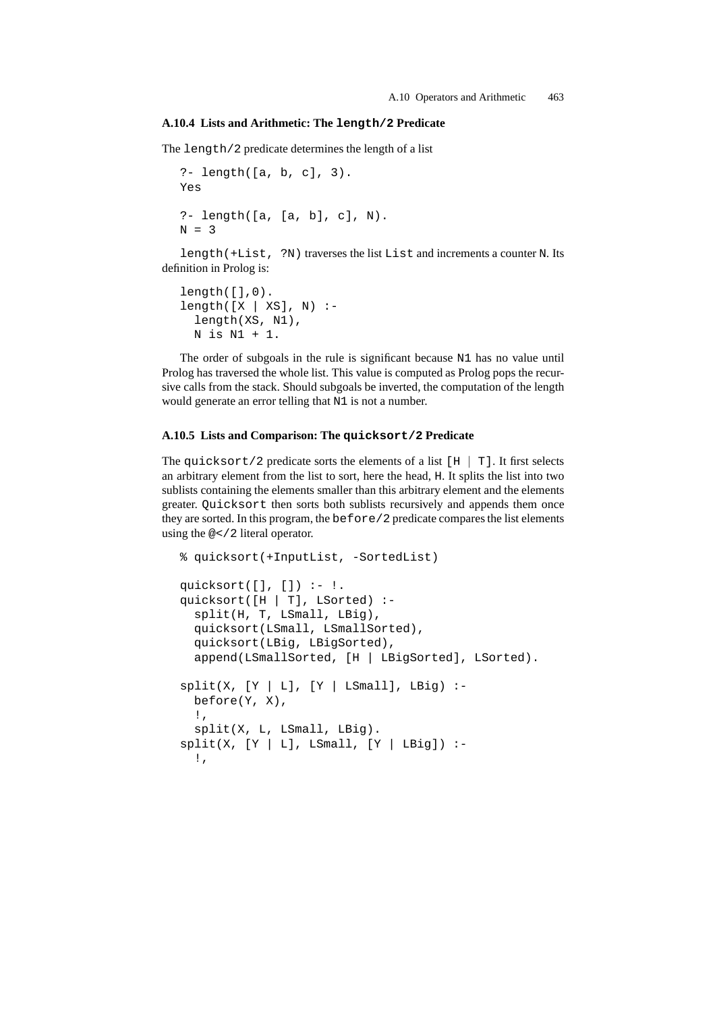### **A.10.4 Lists and Arithmetic: The length/2 Predicate**

The length/2 predicate determines the length of a list

```
?- length([a, b, c], 3).
Yes
?- length([a, [a, b], c], N).
N = 3
```
length(+List, ?N) traverses the list List and increments a counter N. Its definition in Prolog is:

```
length([],0).
length([X \mid XS], N) :-
  length(XS, N1),
  N is N1 + 1.
```
The order of subgoals in the rule is significant because N1 has no value until Prolog has traversed the whole list. This value is computed as Prolog pops the recursive calls from the stack. Should subgoals be inverted, the computation of the length would generate an error telling that N1 is not a number.

#### **A.10.5 Lists and Comparison: The quicksort/2 Predicate**

The quicksort/2 predicate sorts the elements of a list  $[H | T]$ . It first selects an arbitrary element from the list to sort, here the head, H. It splits the list into two sublists containing the elements smaller than this arbitrary element and the elements greater. Quicksort then sorts both sublists recursively and appends them once they are sorted. In this program, the before/2 predicate compares the list elements using the  $@$  < / 2 literal operator.

```
% quicksort(+InputList, -SortedList)
quicksort([], []) :- !.
quicksort([H | T], LSorted) :-
  split(H, T, LSmall, LBig),
  quicksort(LSmall, LSmallSorted),
  quicksort(LBig, LBigSorted),
  append(LSmallSorted, [H | LBigSorted], LSorted).
split(X, [Y | L], [Y | LSmall], LBig) :-
  before(Y, X),
  !,
  split(X, L, LSmall, LBig).
split(X, [Y | L], LSmall, [Y | LBig]) :-
  !,
```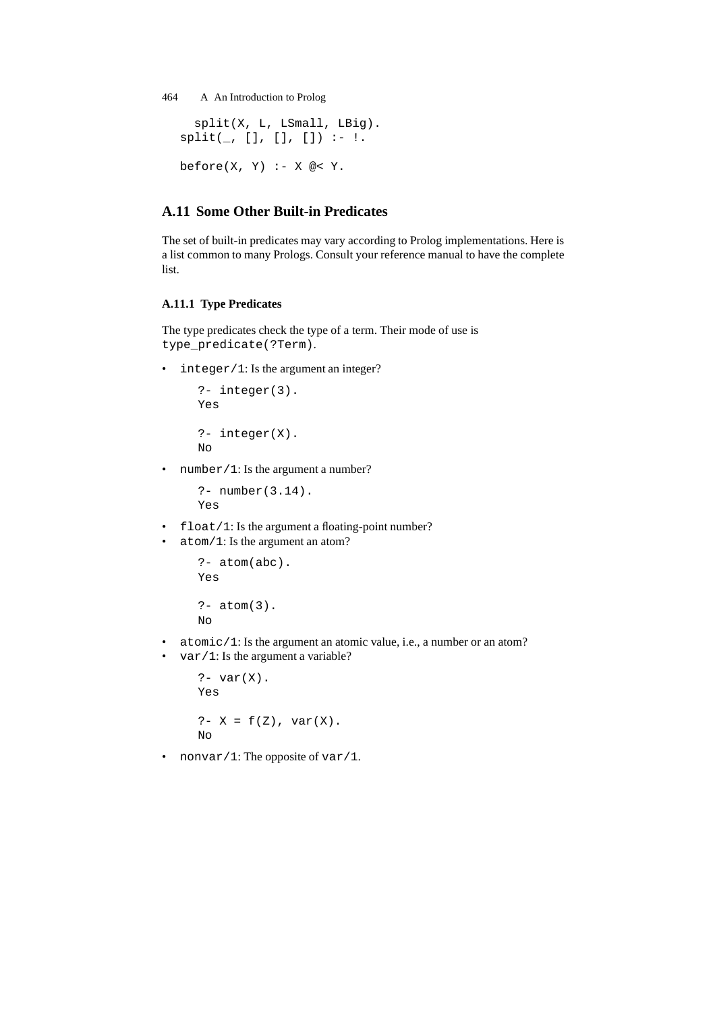```
split(X, L, LSmall, LBig).
split(\_, [], [], []) := !.before(X, Y) :- X \otimes Y.
```
# **A.11 Some Other Built-in Predicates**

The set of built-in predicates may vary according to Prolog implementations. Here is a list common to many Prologs. Consult your reference manual to have the complete list.

## **A.11.1 Type Predicates**

The type predicates check the type of a term. Their mode of use is type\_predicate(?Term).

• integer/1: Is the argument an integer?

```
?- integer(3).
Yes
?- integer(X).
No
```
• number / 1: Is the argument a number?

?- number(3.14). Yes

- $f$ loat/1: Is the argument a floating-point number?
- atom/1: Is the argument an atom?

```
?- atom(abc).
Yes
?- atom(3).
No
```
- atomic/1: Is the argument an atomic value, i.e., a number or an atom?
- var/1: Is the argument a variable?

```
? - var(X).
Yes
?- X = f(Z), var(X).
No
```
• nonvar/1: The opposite of var/1.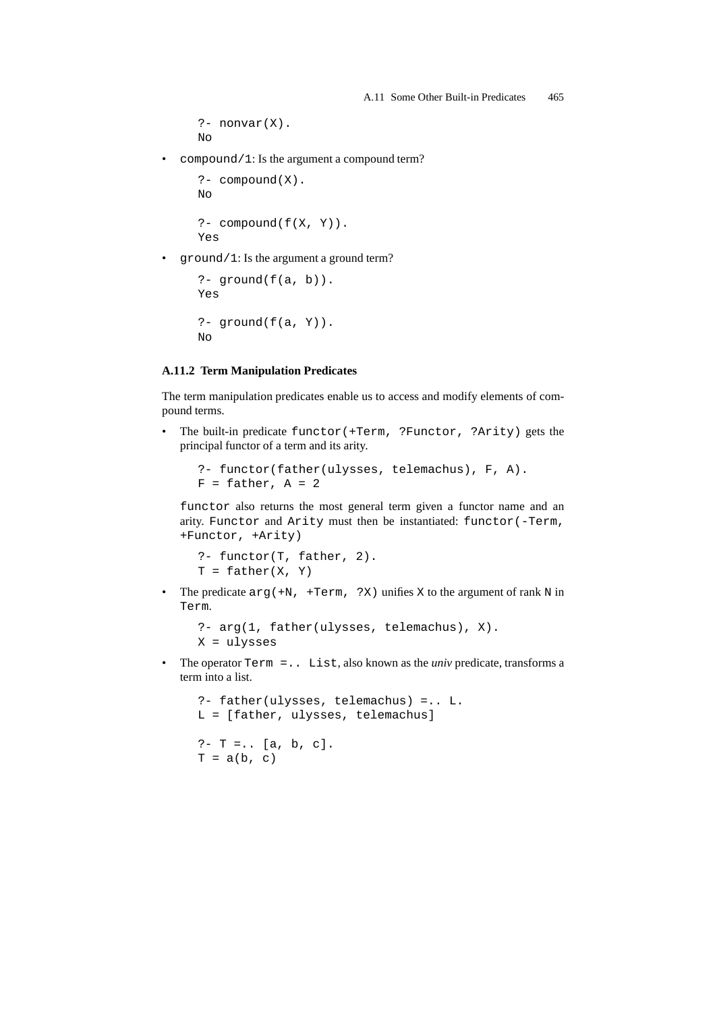```
?- nonvar(X).
No
```
• compound/1: Is the argument a compound term?

```
?- compound(X).
No
?- compound(f(X, Y)).
Yes
```
• ground/1: Is the argument a ground term?

?-  $ground(f(a, b))$ . Yes ?-  $ground(f(a, Y))$ . No

#### **A.11.2 Term Manipulation Predicates**

The term manipulation predicates enable us to access and modify elements of compound terms.

The built-in predicate functor(+Term, ?Functor, ?Arity) gets the principal functor of a term and its arity.

```
?- functor(father(ulysses, telemachus), F, A).
F = father, A = 2
```
functor also returns the most general term given a functor name and an arity. Functor and Arity must then be instantiated: functor(-Term, +Functor, +Arity)

```
?- functor(T, father, 2).
T = father(X, Y)
```
• The predicate  $\arg(\pm N, \pm \text{Term}, ?X)$  unifies X to the argument of rank N in Term.

```
?- arg(1, father(ulysses, telemachus), X).
X = ulysses
```
The operator Term = . . List, also known as the *univ* predicate, transforms a term into a list.

```
?- father(ulysses, telemachus) =.. L.
L = [father, ulysses, telemachus]
? - T = . . [a, b, c].T = a(b, c)
```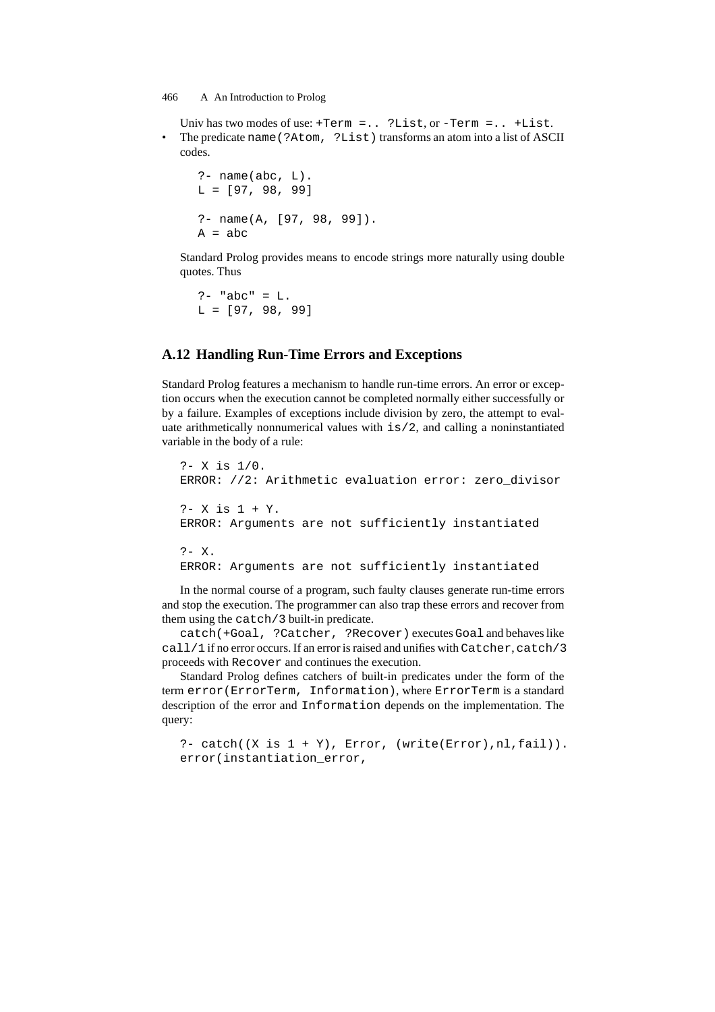Univ has two modes of use: +Term =.. ?List, or -Term =.. +List.

• The predicate name (?Atom, ?List) transforms an atom into a list of ASCII codes.

 $?$ - name(abc,  $L$ ).  $L = [97, 98, 99]$ ?- name(A, [97, 98, 99]).  $A = abc$ 

Standard Prolog provides means to encode strings more naturally using double quotes. Thus

?- "abc" = L.  $L = [97, 98, 99]$ 

## **A.12 Handling Run-Time Errors and Exceptions**

Standard Prolog features a mechanism to handle run-time errors. An error or exception occurs when the execution cannot be completed normally either successfully or by a failure. Examples of exceptions include division by zero, the attempt to evaluate arithmetically nonnumerical values with  $\frac{1}{15}/2$ , and calling a noninstantiated variable in the body of a rule:

```
?- X is 1/0.
ERROR: //2: Arithmetic evaluation error: zero_divisor
?- X is 1 + Y.
ERROR: Arguments are not sufficiently instantiated
?- X.
ERROR: Arguments are not sufficiently instantiated
```
In the normal course of a program, such faulty clauses generate run-time errors and stop the execution. The programmer can also trap these errors and recover from them using the catch/3 built-in predicate.

catch(+Goal, ?Catcher, ?Recover) executes Goal and behaves like call/1 if no error occurs. If an error is raised and unifies with Catcher, catch/3 proceeds with Recover and continues the execution.

Standard Prolog defines catchers of built-in predicates under the form of the term error(ErrorTerm, Information), where ErrorTerm is a standard description of the error and Information depends on the implementation. The query:

```
?- catch((X is 1 + Y), Error, (write(Error), nl, fail)).error(instantiation_error,
```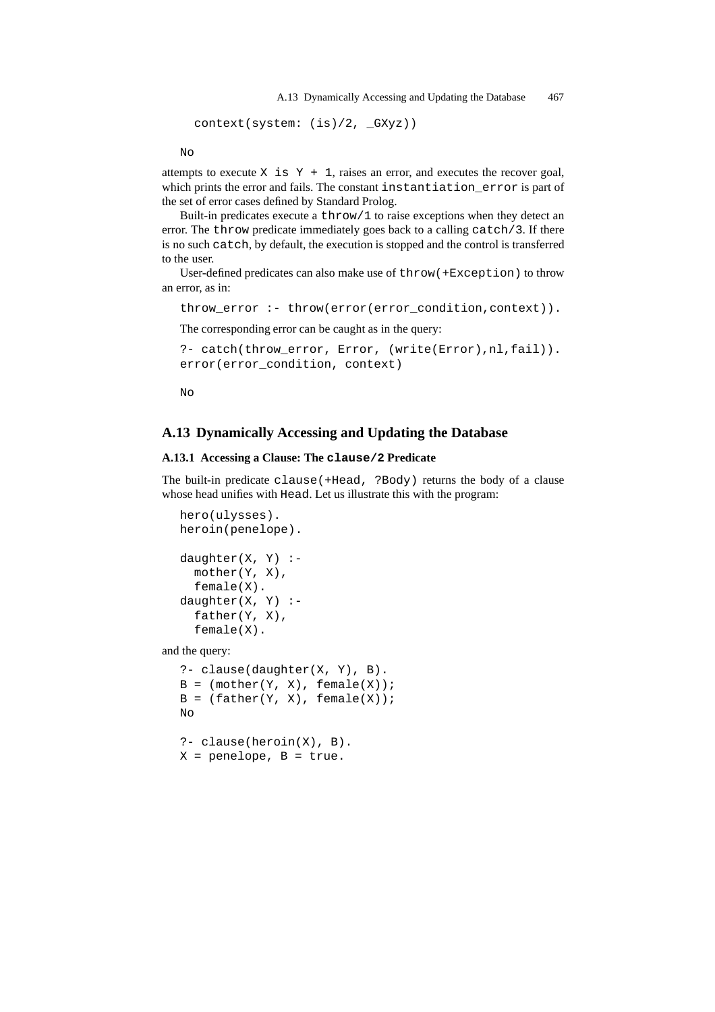```
context(system: (is)/2, _GXyz))
```
No

attempts to execute  $X$  is  $Y + 1$ , raises an error, and executes the recover goal, which prints the error and fails. The constant instantiation\_error is part of the set of error cases defined by Standard Prolog.

Built-in predicates execute a throw/1 to raise exceptions when they detect an error. The throw predicate immediately goes back to a calling catch/3. If there is no such catch, by default, the execution is stopped and the control is transferred to the user.

User-defined predicates can also make use of throw(+Exception) to throw an error, as in:

```
throw_error :- throw(error(error_condition,context)).
```
The corresponding error can be caught as in the query:

```
?- catch(throw_error, Error, (write(Error),nl,fail)).
error(error condition, context)
```
No

## **A.13 Dynamically Accessing and Updating the Database**

## **A.13.1 Accessing a Clause: The clause/2 Predicate**

The built-in predicate clause(+Head, ?Body) returns the body of a clause whose head unifies with Head. Let us illustrate this with the program:

```
hero(ulysses).
heroin(penelope).
daughter(X, Y) :-
  mother(Y, X),
  female(X).
daughter(X, Y) :-
  father(Y, X),
  female(X).
```
and the query:

```
?- clause(daughter(X, Y), B).
B = (mother(Y, X), female(X));B = (father(Y, X), female(X));No
?- clause(heroin(X), B).
```

```
X = penelope, B = true.
```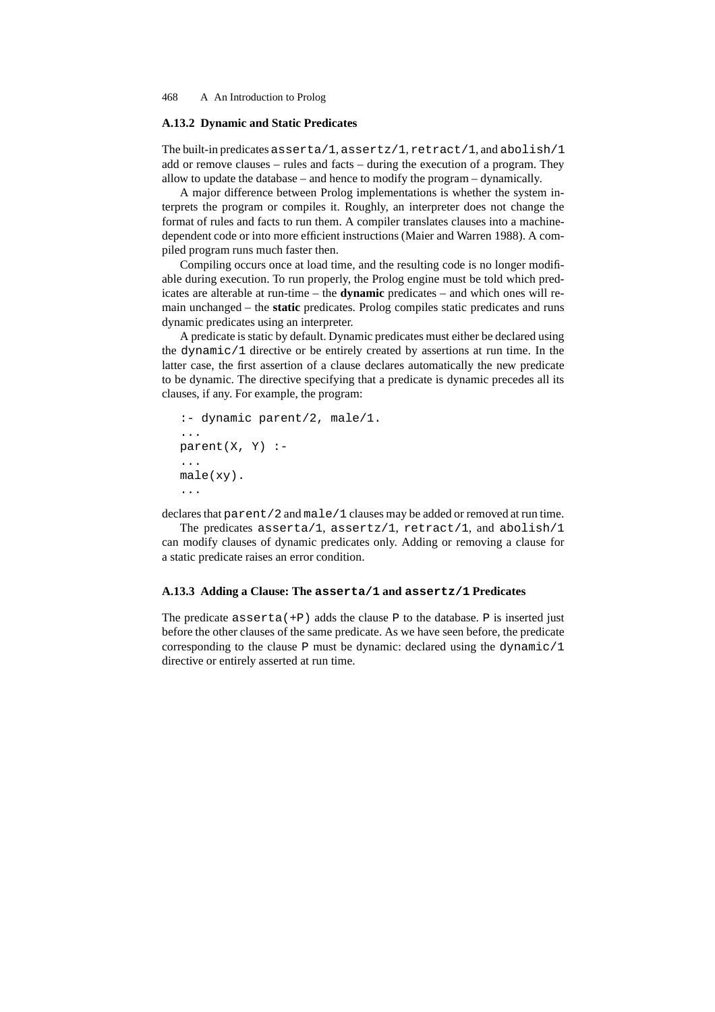### **A.13.2 Dynamic and Static Predicates**

The built-in predicates asserta/1, assertz/1, retract/1, and abolish/1 add or remove clauses – rules and facts – during the execution of a program. They allow to update the database – and hence to modify the program – dynamically.

A major difference between Prolog implementations is whether the system interprets the program or compiles it. Roughly, an interpreter does not change the format of rules and facts to run them. A compiler translates clauses into a machinedependent code or into more efficient instructions (Maier and Warren 1988). A compiled program runs much faster then.

Compiling occurs once at load time, and the resulting code is no longer modifiable during execution. To run properly, the Prolog engine must be told which predicates are alterable at run-time – the **dynamic** predicates – and which ones will remain unchanged – the **static** predicates. Prolog compiles static predicates and runs dynamic predicates using an interpreter.

A predicate is static by default. Dynamic predicates must either be declared using the dynamic/1 directive or be entirely created by assertions at run time. In the latter case, the first assertion of a clause declares automatically the new predicate to be dynamic. The directive specifying that a predicate is dynamic precedes all its clauses, if any. For example, the program:

```
:- dynamic parent/2, male/1.
...
parent(X, Y) :-
...
male(xy).
...
```
declares that parent / 2 and male/1 clauses may be added or removed at run time.

The predicates asserta/1, assertz/1,  $retract/1$ , and  $abolish/1$ can modify clauses of dynamic predicates only. Adding or removing a clause for a static predicate raises an error condition.

#### **A.13.3 Adding a Clause: The asserta/1 and assertz/1 Predicates**

The predicate  $\text{asserta}(+P)$  adds the clause P to the database. P is inserted just before the other clauses of the same predicate. As we have seen before, the predicate corresponding to the clause P must be dynamic: declared using the dynamic $/1$ directive or entirely asserted at run time.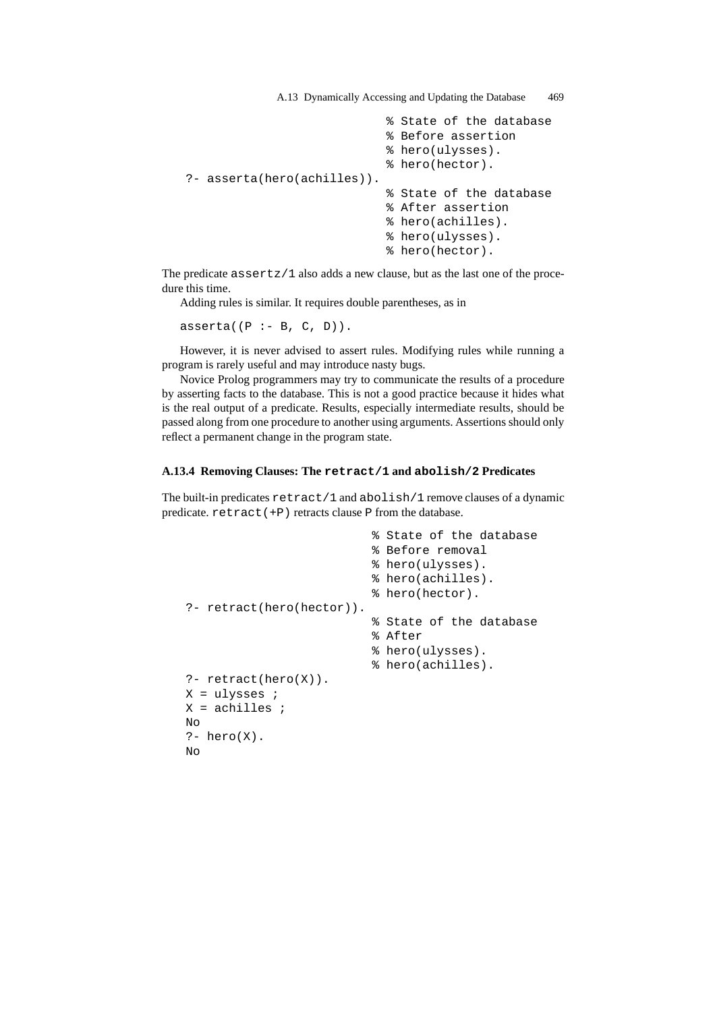A.13 Dynamically Accessing and Updating the Database 469

```
% State of the database
                             % Before assertion
                            % hero(ulysses).
                             % hero(hector).
?- asserta(hero(achilles)).
                             % State of the database
                             % After assertion
                             % hero(achilles).
                             % hero(ulysses).
                             % hero(hector).
```
The predicate assertz/1 also adds a new clause, but as the last one of the procedure this time.

Adding rules is similar. It requires double parentheses, as in

 $asserta((P:-B, C, D))$ .

However, it is never advised to assert rules. Modifying rules while running a program is rarely useful and may introduce nasty bugs.

Novice Prolog programmers may try to communicate the results of a procedure by asserting facts to the database. This is not a good practice because it hides what is the real output of a predicate. Results, especially intermediate results, should be passed along from one procedure to another using arguments. Assertions should only reflect a permanent change in the program state.

#### **A.13.4 Removing Clauses: The retract/1 and abolish/2 Predicates**

The built-in predicates retract/1 and abolish/1 remove clauses of a dynamic predicate. retract(+P) retracts clause P from the database.

```
% State of the database
                            % Before removal
                            % hero(ulysses).
                            % hero(achilles).
                            % hero(hector).
?- retract(hero(hector)).
                            % State of the database
                            % After
                            % hero(ulysses).
                            % hero(achilles).
?- retract(hero(X)).
X = ulysses ;
X = \text{achilles};
No
? - \text{hero}(X).
No
```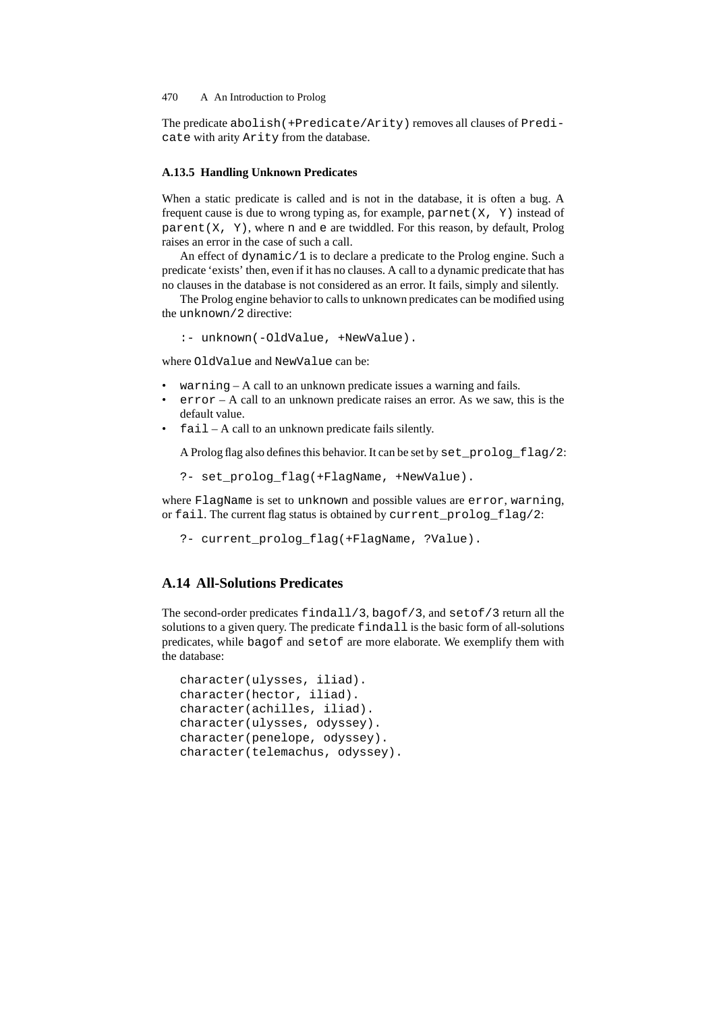The predicate abolish(+Predicate/Arity) removes all clauses of Predicate with arity Arity from the database.

#### **A.13.5 Handling Unknown Predicates**

When a static predicate is called and is not in the database, it is often a bug. A frequent cause is due to wrong typing as, for example,  $parent(X, Y)$  instead of parent  $(X, Y)$ , where n and e are twiddled. For this reason, by default, Prolog raises an error in the case of such a call.

An effect of dynamic/1 is to declare a predicate to the Prolog engine. Such a predicate 'exists' then, even if it has no clauses. A call to a dynamic predicate that has no clauses in the database is not considered as an error. It fails, simply and silently.

The Prolog engine behavior to calls to unknown predicates can be modified using the unknown/2 directive:

```
:- unknown(-OldValue, +NewValue).
```
where OldValue and NewValue can be:

- $\texttt{warning} \texttt{A}$  call to an unknown predicate issues a warning and fails.
- $error A$  call to an unknown predicate raises an error. As we saw, this is the default value.
- $fail A call to an unknown predicate fails silently.$

A Prolog flag also defines this behavior. It can be set by set\_prolog\_flag/2:

```
?- set_prolog_flag(+FlagName, +NewValue).
```
where FlagName is set to unknown and possible values are error, warning, or fail. The current flag status is obtained by current\_prolog\_flag/2:

```
?- current prolog flag(+FlagName, ?Value).
```
# **A.14 All-Solutions Predicates**

The second-order predicates  $\frac{1}{2}$ , bagof/3, and set of/3 return all the solutions to a given query. The predicate findall is the basic form of all-solutions predicates, while bagof and setof are more elaborate. We exemplify them with the database:

```
character(ulysses, iliad).
character(hector, iliad).
character(achilles, iliad).
character(ulysses, odyssey).
character(penelope, odyssey).
character(telemachus, odyssey).
```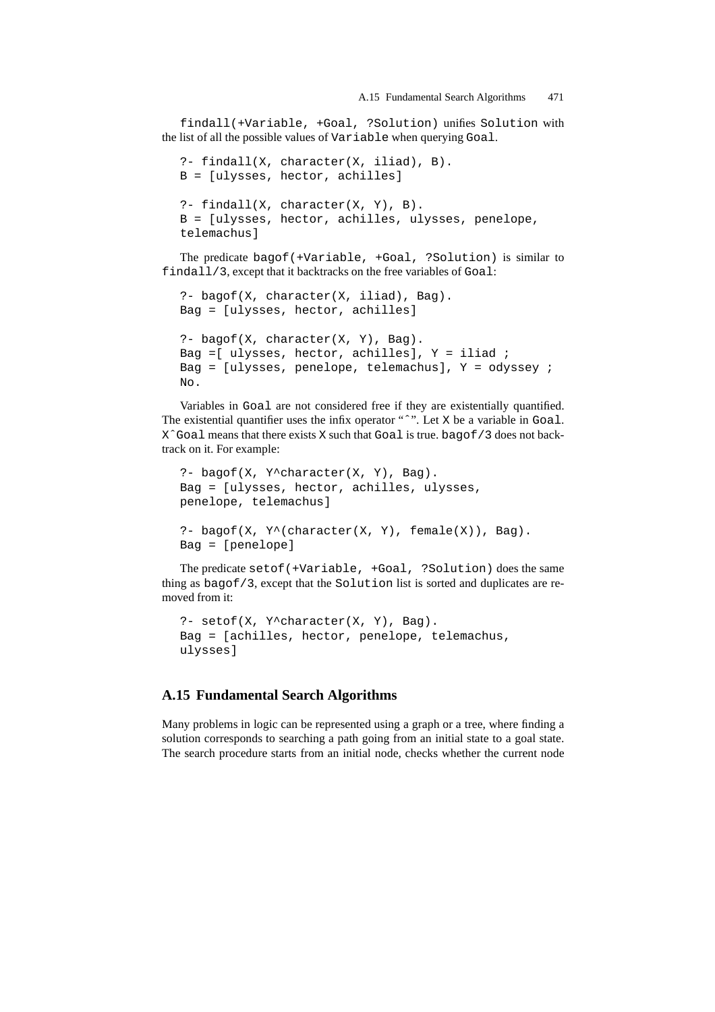findall(+Variable, +Goal, ?Solution) unifies Solution with the list of all the possible values of Variable when querying Goal.

```
?- findall(X, character(X, iliad), B).
B = [ulysses, hector, achilles]
?- findall(X, character(X, Y), B).
B = [ulysses, hector, achilles, ulysses, penelope,
telemachus]
```
The predicate bagof(+Variable, +Goal, ?Solution) is similar to findall/3, except that it backtracks on the free variables of Goal:

```
?- bagof(X, character(X, iliad), Bag).
Bag = [ulysses, hector, achilles]
?- bagof(X, character(X, Y), Bag).
Bag =[ ulysses, hector, achilles], Y = iliad ;
Bag = [ulysses, penelope, telemachus], Y = odyssey ;
N<sub>0</sub>
```
Variables in Goal are not considered free if they are existentially quantified. The existential quantifier uses the infix operator "^". Let X be a variable in Goal. XˆGoal means that there exists X such that Goal is true. bagof/3 does not backtrack on it. For example:

```
?- bagof(X, Y^character(X, Y), Bag).
Bag = [ulysses, hector, achilles, ulysses,
penelope, telemachus]
?- bagof(X, Y^(character(X, Y), female(X)), Bag).
Bag = [penelope]
```
The predicate setof(+Variable, +Goal, ?Solution) does the same thing as bagof/3, except that the Solution list is sorted and duplicates are removed from it:

```
?- setof(X, Y^character(X, Y), Bag).
Bag = [achilles, hector, penelope, telemachus,
ulysses]
```
# **A.15 Fundamental Search Algorithms**

Many problems in logic can be represented using a graph or a tree, where finding a solution corresponds to searching a path going from an initial state to a goal state. The search procedure starts from an initial node, checks whether the current node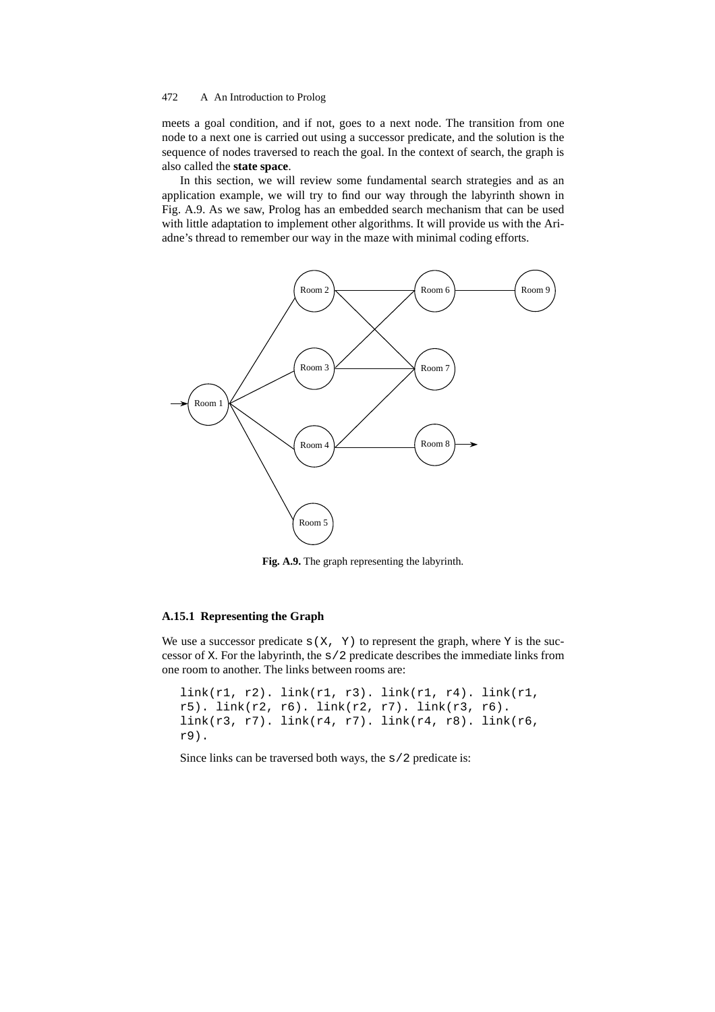meets a goal condition, and if not, goes to a next node. The transition from one node to a next one is carried out using a successor predicate, and the solution is the sequence of nodes traversed to reach the goal. In the context of search, the graph is also called the **state space**.

In this section, we will review some fundamental search strategies and as an application example, we will try to find our way through the labyrinth shown in Fig. A.9. As we saw, Prolog has an embedded search mechanism that can be used with little adaptation to implement other algorithms. It will provide us with the Ariadne's thread to remember our way in the maze with minimal coding efforts.



**Fig. A.9.** The graph representing the labyrinth.

#### **A.15.1 Representing the Graph**

We use a successor predicate  $s(X, Y)$  to represent the graph, where Y is the successor of X. For the labyrinth, the s/2 predicate describes the immediate links from one room to another. The links between rooms are:

```
link(r1, r2). link(r1, r3). link(r1, r4). link(r1,
r5). link(r2, r6). link(r2, r7). link(r3, r6).
link(r3, r7). link(r4, r7). link(r4, r8). link(r6,
r9).
```
Since links can be traversed both ways, the s/2 predicate is: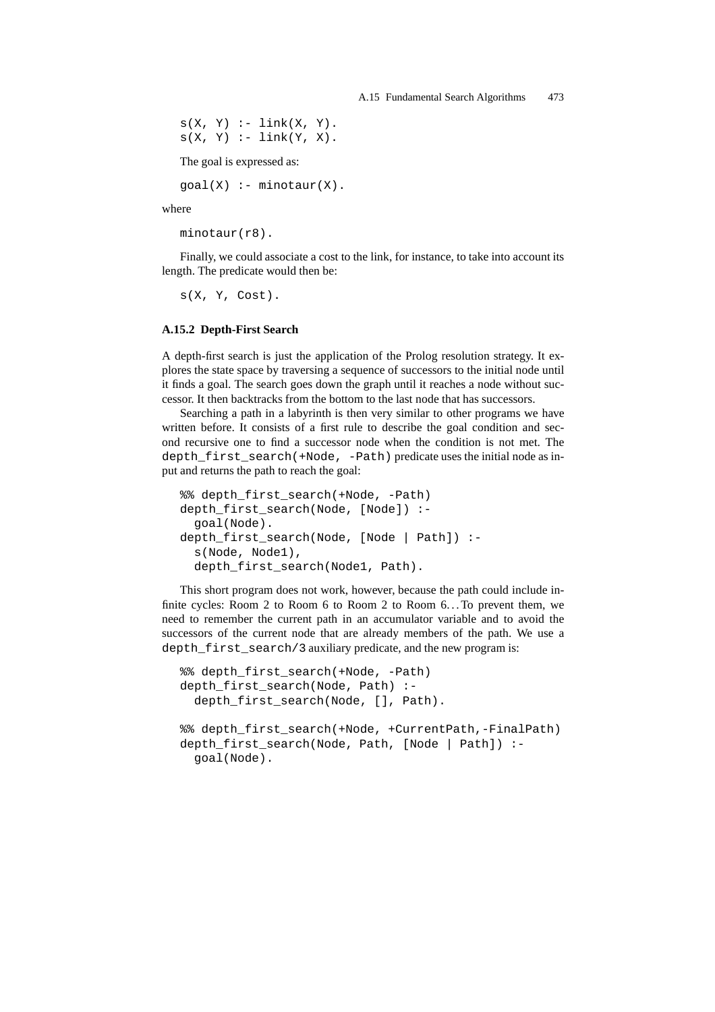$s(X, Y)$  :- link(X, Y).  $s(X, Y)$  :- link(Y, X).

The goal is expressed as:

 $qoal(X)$  :- minotaur(X).

where

minotaur(r8).

Finally, we could associate a cost to the link, for instance, to take into account its length. The predicate would then be:

s(X, Y, Cost).

#### **A.15.2 Depth-First Search**

A depth-first search is just the application of the Prolog resolution strategy. It explores the state space by traversing a sequence of successors to the initial node until it finds a goal. The search goes down the graph until it reaches a node without successor. It then backtracks from the bottom to the last node that has successors.

Searching a path in a labyrinth is then very similar to other programs we have written before. It consists of a first rule to describe the goal condition and second recursive one to find a successor node when the condition is not met. The depth\_first\_search(+Node, -Path) predicate uses the initial node as input and returns the path to reach the goal:

```
%% depth_first_search(+Node, -Path)
depth first search(Node, [Node]) :-
  goal(Node).
depth_first_search(Node, [Node | Path]) :-
  s(Node, Node1),
  depth first search(Node1, Path).
```
This short program does not work, however, because the path could include infinite cycles: Room 2 to Room 6 to Room 2 to Room 6... To prevent them, we need to remember the current path in an accumulator variable and to avoid the successors of the current node that are already members of the path. We use a depth first search/3 auxiliary predicate, and the new program is:

```
%% depth_first_search(+Node, -Path)
depth_first_search(Node, Path) :-
  depth_first_search(Node, [], Path).
%% depth_first_search(+Node, +CurrentPath,-FinalPath)
depth_first_search(Node, Path, [Node | Path]) :-
  goal(Node).
```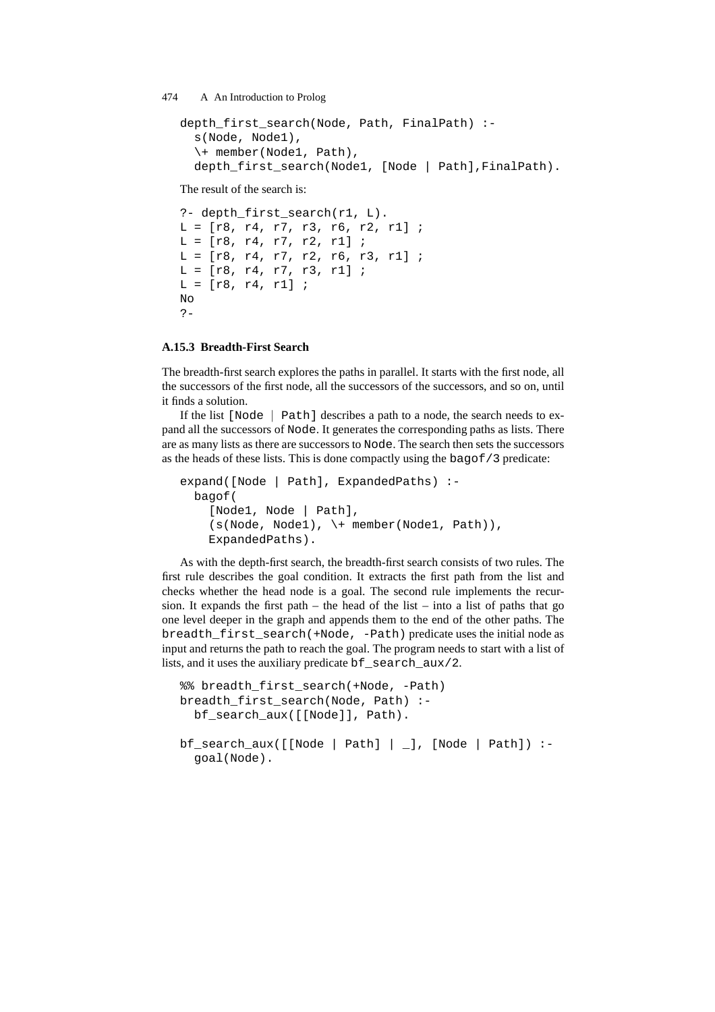```
depth_first_search(Node, Path, FinalPath) :-
  s(Node, Node1),
  \+ member(Node1, Path),
  depth_first_search(Node1, [Node | Path],FinalPath).
```
The result of the search is:

```
?- depth first search(r1, L).
L = [r8, r4, r7, r3, r6, r2, r1] ;
L = [r8, r4, r7, r2, r1];
L = [r8, r4, r7, r2, r6, r3, r1];
L = [r8, r4, r7, r3, r1];
L = [r8, r4, r1];
N<sub>O</sub>?-
```
#### **A.15.3 Breadth-First Search**

The breadth-first search explores the paths in parallel. It starts with the first node, all the successors of the first node, all the successors of the successors, and so on, until it finds a solution.

If the list  $Node \mid Path \mid$  describes a path to a node, the search needs to expand all the successors of Node. It generates the corresponding paths as lists. There are as many lists as there are successors to Node. The search then sets the successors as the heads of these lists. This is done compactly using the bagof/3 predicate:

```
expand([Node | Path], ExpandedPaths) :-
 bagof(
    [Node1, Node | Path],
    (s(Node, Node1), \+ member(Node1, Path)),
    ExpandedPaths).
```
As with the depth-first search, the breadth-first search consists of two rules. The first rule describes the goal condition. It extracts the first path from the list and checks whether the head node is a goal. The second rule implements the recursion. It expands the first path – the head of the list – into a list of paths that go one level deeper in the graph and appends them to the end of the other paths. The breadth\_first\_search(+Node, -Path) predicate uses the initial node as input and returns the path to reach the goal. The program needs to start with a list of lists, and it uses the auxiliary predicate bf\_search\_aux/2.

```
%% breadth_first_search(+Node, -Path)
breadth_first_search(Node, Path) :-
  bf_search_aux([[Node]], Path).
bf\_search\_aux([[Node | Path] | _], [Node | Path]) :-goal(Node).
```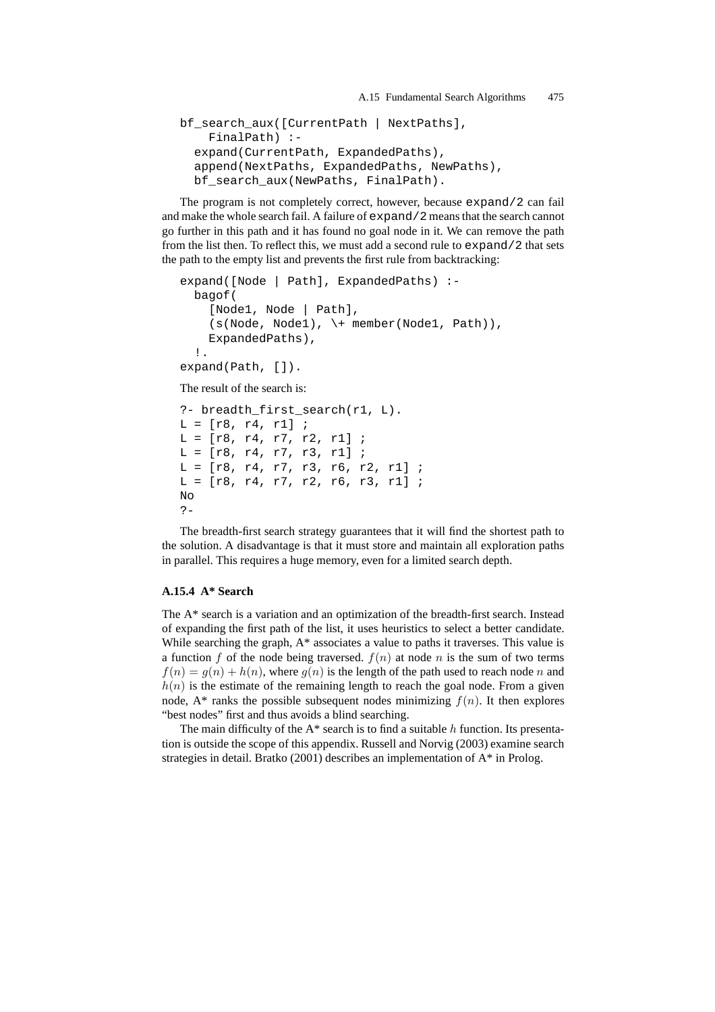```
bf_search_aux([CurrentPath | NextPaths],
    FinalPath) :-
  expand(CurrentPath, ExpandedPaths),
  append(NextPaths, ExpandedPaths, NewPaths),
  bf search aux(NewPaths, FinalPath).
```
The program is not completely correct, however, because expand/2 can fail and make the whole search fail. A failure of expand/2 means that the search cannot go further in this path and it has found no goal node in it. We can remove the path from the list then. To reflect this, we must add a second rule to expand/2 that sets the path to the empty list and prevents the first rule from backtracking:

```
expand([Node | Path], ExpandedPaths) :-
 bagof(
    [Node1, Node | Path],
    (s(Node, Node1), \+ member(Node1, Path)),
    ExpandedPaths),
  !.
expand(Path, []).
```
The result of the search is:

```
?- breadth_first_search(r1, L).
L = [r8, r4, r1];
L = [r8, r4, r7, r2, r1] ;
L = [r8, r4, r7, r3, r1] ;
L = [r8, r4, r7, r3, r6, r2, r1];
L = [r8, r4, r7, r2, r6, r3, r1];
No
?-
```
The breadth-first search strategy guarantees that it will find the shortest path to the solution. A disadvantage is that it must store and maintain all exploration paths in parallel. This requires a huge memory, even for a limited search depth.

#### **A.15.4 A\* Search**

The A\* search is a variation and an optimization of the breadth-first search. Instead of expanding the first path of the list, it uses heuristics to select a better candidate. While searching the graph,  $A^*$  associates a value to paths it traverses. This value is a function f of the node being traversed.  $f(n)$  at node n is the sum of two terms  $f(n) = g(n) + h(n)$ , where  $g(n)$  is the length of the path used to reach node n and  $h(n)$  is the estimate of the remaining length to reach the goal node. From a given node,  $A^*$  ranks the possible subsequent nodes minimizing  $f(n)$ . It then explores "best nodes" first and thus avoids a blind searching.

The main difficulty of the  $A^*$  search is to find a suitable  $h$  function. Its presentation is outside the scope of this appendix. Russell and Norvig (2003) examine search strategies in detail. Bratko (2001) describes an implementation of A\* in Prolog.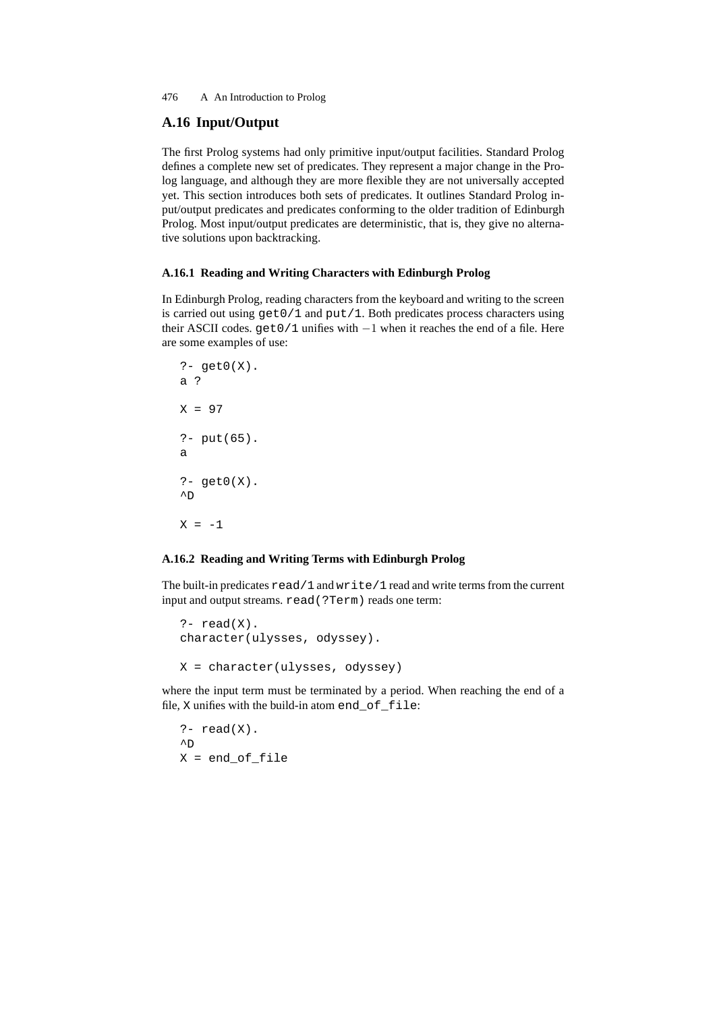## **A.16 Input/Output**

The first Prolog systems had only primitive input/output facilities. Standard Prolog defines a complete new set of predicates. They represent a major change in the Prolog language, and although they are more flexible they are not universally accepted yet. This section introduces both sets of predicates. It outlines Standard Prolog input/output predicates and predicates conforming to the older tradition of Edinburgh Prolog. Most input/output predicates are deterministic, that is, they give no alternative solutions upon backtracking.

## **A.16.1 Reading and Writing Characters with Edinburgh Prolog**

In Edinburgh Prolog, reading characters from the keyboard and writing to the screen is carried out using  $qet0/1$  and  $put/1$ . Both predicates process characters using their ASCII codes. get0/1 unifies with −1 when it reaches the end of a file. Here are some examples of use:

```
?- get0(X).
a ?
X = 97?- put(65).
a
? - qet0(X).
\simD
X = -1
```
## **A.16.2 Reading and Writing Terms with Edinburgh Prolog**

The built-in predicates  $\text{read}/1$  and  $\text{write}/1$  read and write terms from the current input and output streams. read(?Term) reads one term:

```
? - read(X).
character(ulysses, odyssey).
X = character(ulysses, odyssey)
```
where the input term must be terminated by a period. When reaching the end of a file, X unifies with the build-in atom end\_of\_file:

 $? - read(X)$ .  $\sim_D$  $X = end of file$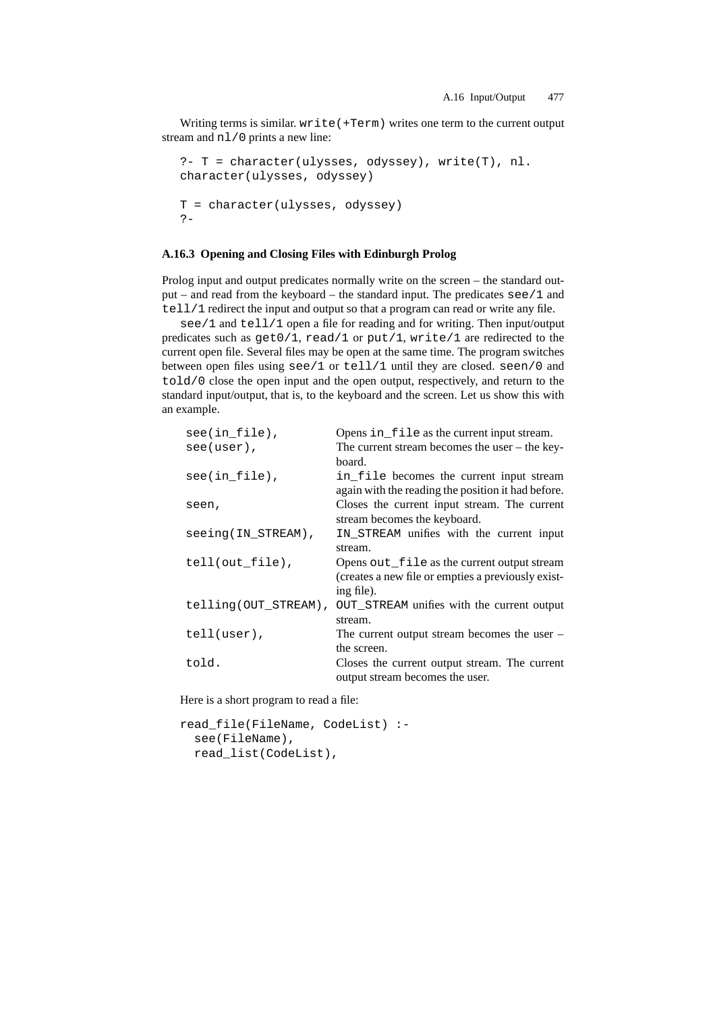Writing terms is similar. write(+Term) writes one term to the current output stream and  $n$ 1/0 prints a new line:

```
?- T = character(ulysses, odyssey), write(T), nl.
character(ulysses, odyssey)
T = character(ulysses, odyssey)
?-
```
## **A.16.3 Opening and Closing Files with Edinburgh Prolog**

Prolog input and output predicates normally write on the screen – the standard output – and read from the keyboard – the standard input. The predicates see/1 and tell/1 redirect the input and output so that a program can read or write any file.

see/1 and tell/1 open a file for reading and for writing. Then input/output predicates such as  $qet0/1$ ,  $read/1$  or  $put/1$ ,  $write/1$  are redirected to the current open file. Several files may be open at the same time. The program switches between open files using see/1 or tell/1 until they are closed. seen/0 and told/0 close the open input and the open output, respectively, and return to the standard input/output, that is, to the keyboard and the screen. Let us show this with an example.

| $see (in_file)$ ,    | Opens in _f i le as the current input stream.      |
|----------------------|----------------------------------------------------|
| see(user),           | The current stream becomes the user $-$ the key-   |
|                      | board.                                             |
| $see (in_file)$ ,    | in file becomes the current input stream           |
|                      | again with the reading the position it had before. |
| seen,                | Closes the current input stream. The current       |
|                      | stream becomes the keyboard.                       |
| seeing(IN_STREAM),   | IN_STREAM unifies with the current input           |
|                      | stream.                                            |
| tell(out file),      | Opens out_file as the current output stream        |
|                      | (creates a new file or empties a previously exist- |
|                      | ing file).                                         |
| telling(OUT_STREAM), | OUT_STREAM unifies with the current output         |
|                      | stream.                                            |
| tell(user),          | The current output stream becomes the user –       |
|                      | the screen.                                        |
| told.                | Closes the current output stream. The current      |
|                      | output stream becomes the user.                    |

Here is a short program to read a file:

read\_file(FileName, CodeList) : see(FileName), read\_list(CodeList),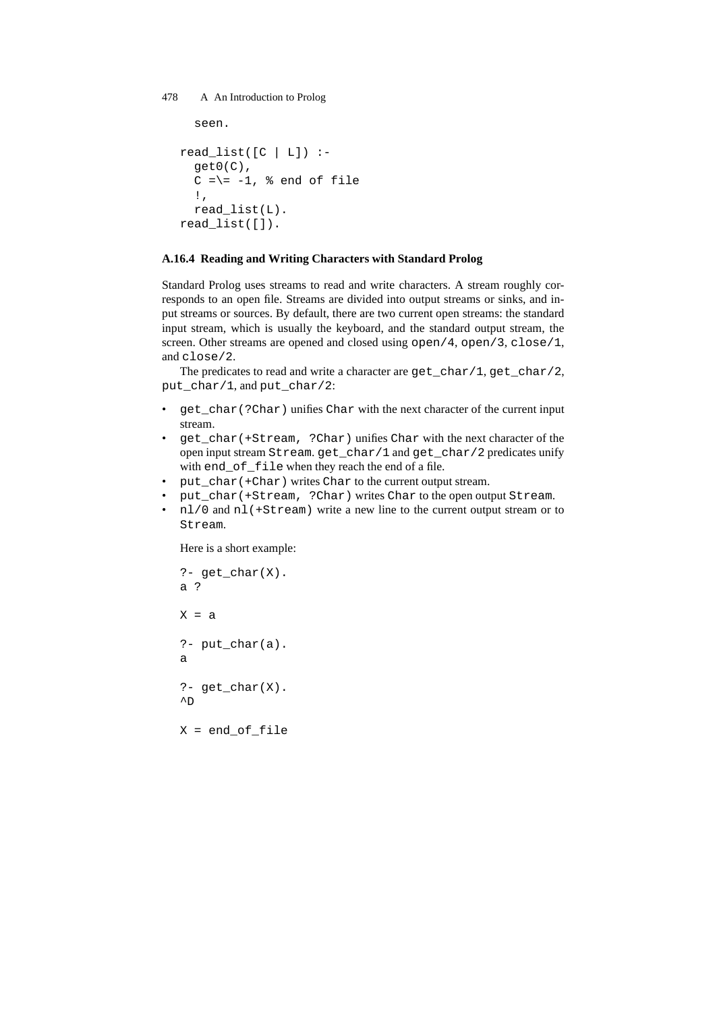```
seen.
read_list([C | L]) :-
  get0(C),
  C = \{-1, % end of file!,
  read_list(L).
read_list([]).
```
## **A.16.4 Reading and Writing Characters with Standard Prolog**

Standard Prolog uses streams to read and write characters. A stream roughly corresponds to an open file. Streams are divided into output streams or sinks, and input streams or sources. By default, there are two current open streams: the standard input stream, which is usually the keyboard, and the standard output stream, the screen. Other streams are opened and closed using open/4, open/3, close/1, and close/2.

The predicates to read and write a character are get  $char/1$ , get  $char/2$ , put\_char/1, and put\_char/2:

- get\_char(?Char) unifies Char with the next character of the current input stream.
- get\_char(+Stream, ?Char) unifies Char with the next character of the open input stream Stream. get\_char/1 and get\_char/2 predicates unify with end\_of\_file when they reach the end of a file.
- put char(+Char) writes Char to the current output stream.
- put char(+Stream, ?Char) writes Char to the open output Stream.
- nl/0 and nl(+Stream) write a new line to the current output stream or to Stream.

Here is a short example:

```
?- qet char(X).
a ?
X = a?- put_char(a).
a
? - get\_char(X).
\simD
X = end of file
```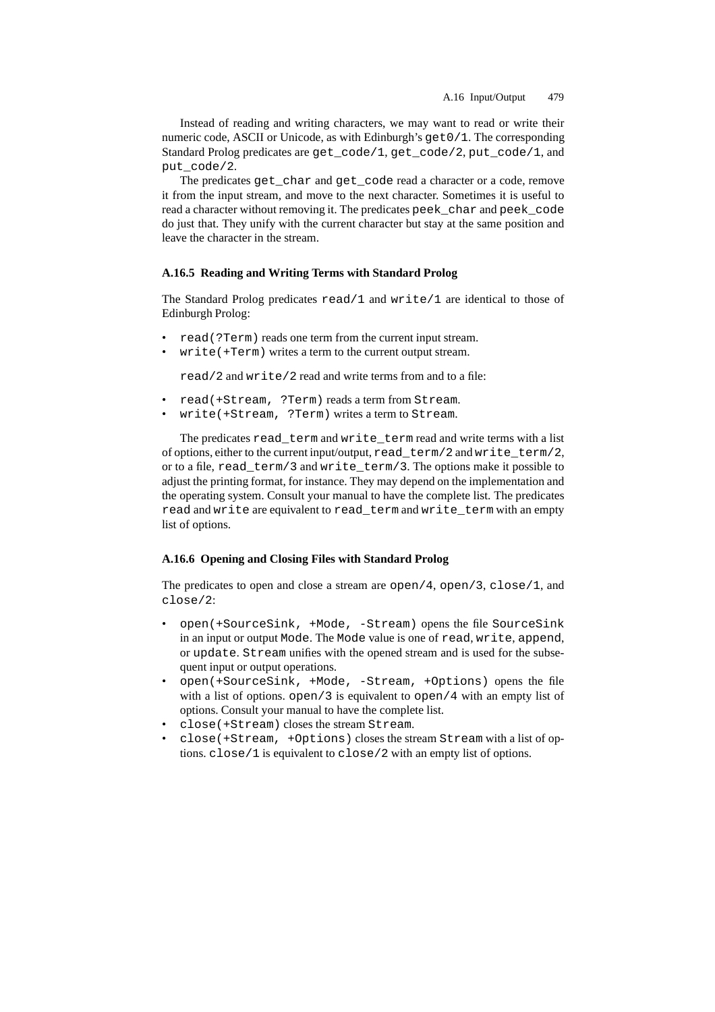Instead of reading and writing characters, we may want to read or write their numeric code, ASCII or Unicode, as with Edinburgh's get0/1. The corresponding Standard Prolog predicates are get\_code/1, get\_code/2, put\_code/1, and put\_code/2.

The predicates get\_char and get\_code read a character or a code, remove it from the input stream, and move to the next character. Sometimes it is useful to read a character without removing it. The predicates peek\_char and peek\_code do just that. They unify with the current character but stay at the same position and leave the character in the stream.

#### **A.16.5 Reading and Writing Terms with Standard Prolog**

The Standard Prolog predicates  $\text{read}/1$  and  $\text{write}/1$  are identical to those of Edinburgh Prolog:

- read (?Term) reads one term from the current input stream.
- write(+Term) writes a term to the current output stream.

read/2 and write/2 read and write terms from and to a file:

- read(+Stream, ?Term) reads a term from Stream.
- write(+Stream, ?Term) writes a term to Stream.

The predicates read\_term and write\_term read and write terms with a list of options, either to the current input/output, read\_term/2 and write\_term/2, or to a file, read\_term/3 and write\_term/3. The options make it possible to adjust the printing format, for instance. They may depend on the implementation and the operating system. Consult your manual to have the complete list. The predicates read and write are equivalent to read\_term and write\_term with an empty list of options.

#### **A.16.6 Opening and Closing Files with Standard Prolog**

The predicates to open and close a stream are open/4, open/3, close/1, and close/2:

- open(+SourceSink, +Mode, -Stream) opens the file SourceSink in an input or output Mode. The Mode value is one of read, write, append, or update. Stream unifies with the opened stream and is used for the subsequent input or output operations.
- open(+SourceSink, +Mode, -Stream, +Options) opens the file with a list of options. open/3 is equivalent to open/4 with an empty list of options. Consult your manual to have the complete list.
- close(+Stream) closes the stream Stream.
- close(+Stream, +Options) closes the stream Stream with a list of options. close/1 is equivalent to close/2 with an empty list of options.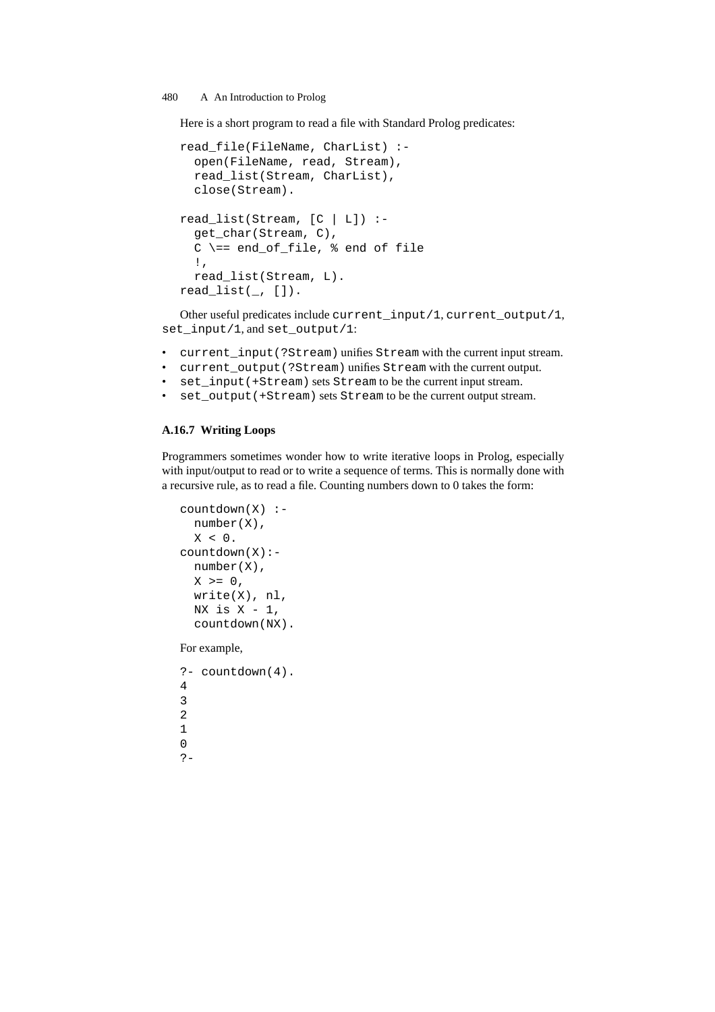Here is a short program to read a file with Standard Prolog predicates:

```
read_file(FileName, CharList) :-
  open(FileName, read, Stream),
  read_list(Stream, CharList),
  close(Stream).
read list(Stream, [C | L]) :-
  get_char(Stream, C),
  C \== end of file, % end of file
  !,
  read_list(Stream, L).
read\_list(_{
[ ] ).
```
Other useful predicates include current\_input/1, current\_output/1, set\_input/1, and set\_output/1:

- current\_input(?Stream) unifies Stream with the current input stream.
- current\_output(?Stream) unifies Stream with the current output.
- set\_input(+Stream) sets Stream to be the current input stream.
- set\_output(+Stream) sets Stream to be the current output stream.

### **A.16.7 Writing Loops**

Programmers sometimes wonder how to write iterative loops in Prolog, especially with input/output to read or to write a sequence of terms. This is normally done with a recursive rule, as to read a file. Counting numbers down to 0 takes the form:

```
countdown(X) :-
  number(X),
  X < 0.
countdown(X):-
  number(X),
  X > = 0,write(X), nl,
 NX is X - 1,
  countdown(NX).
```
For example,

```
?- countdown(4).
4
3
2
1
\Omega?-
```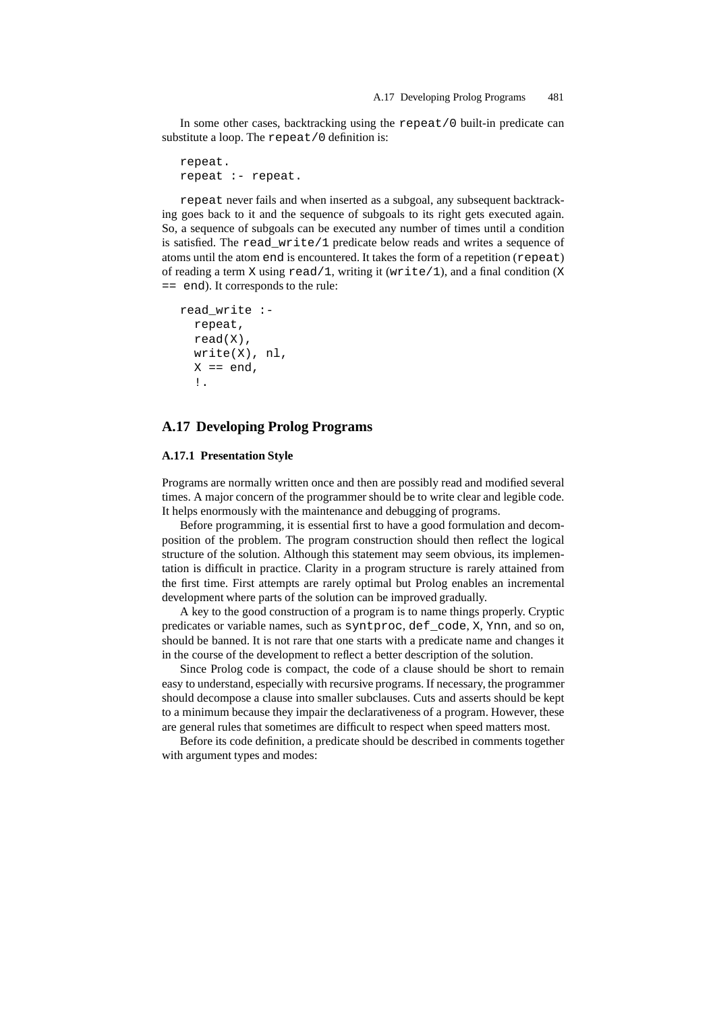In some other cases, backtracking using the repeat/0 built-in predicate can substitute a loop. The repeat/0 definition is:

```
repeat.
repeat :- repeat.
```
repeat never fails and when inserted as a subgoal, any subsequent backtracking goes back to it and the sequence of subgoals to its right gets executed again. So, a sequence of subgoals can be executed any number of times until a condition is satisfied. The read\_write/1 predicate below reads and writes a sequence of atoms until the atom end is encountered. It takes the form of a repetition (repeat) of reading a term X using  $read/1$ , writing it (write/1), and a final condition (X == end). It corresponds to the rule:

```
read_write :-
  repeat,
  read(X),
  write(X), nl,
  X == end,
  !.
```
## **A.17 Developing Prolog Programs**

#### **A.17.1 Presentation Style**

Programs are normally written once and then are possibly read and modified several times. A major concern of the programmer should be to write clear and legible code. It helps enormously with the maintenance and debugging of programs.

Before programming, it is essential first to have a good formulation and decomposition of the problem. The program construction should then reflect the logical structure of the solution. Although this statement may seem obvious, its implementation is difficult in practice. Clarity in a program structure is rarely attained from the first time. First attempts are rarely optimal but Prolog enables an incremental development where parts of the solution can be improved gradually.

A key to the good construction of a program is to name things properly. Cryptic predicates or variable names, such as syntproc, def\_code, X, Ynn, and so on, should be banned. It is not rare that one starts with a predicate name and changes it in the course of the development to reflect a better description of the solution.

Since Prolog code is compact, the code of a clause should be short to remain easy to understand, especially with recursive programs. If necessary, the programmer should decompose a clause into smaller subclauses. Cuts and asserts should be kept to a minimum because they impair the declarativeness of a program. However, these are general rules that sometimes are difficult to respect when speed matters most.

Before its code definition, a predicate should be described in comments together with argument types and modes: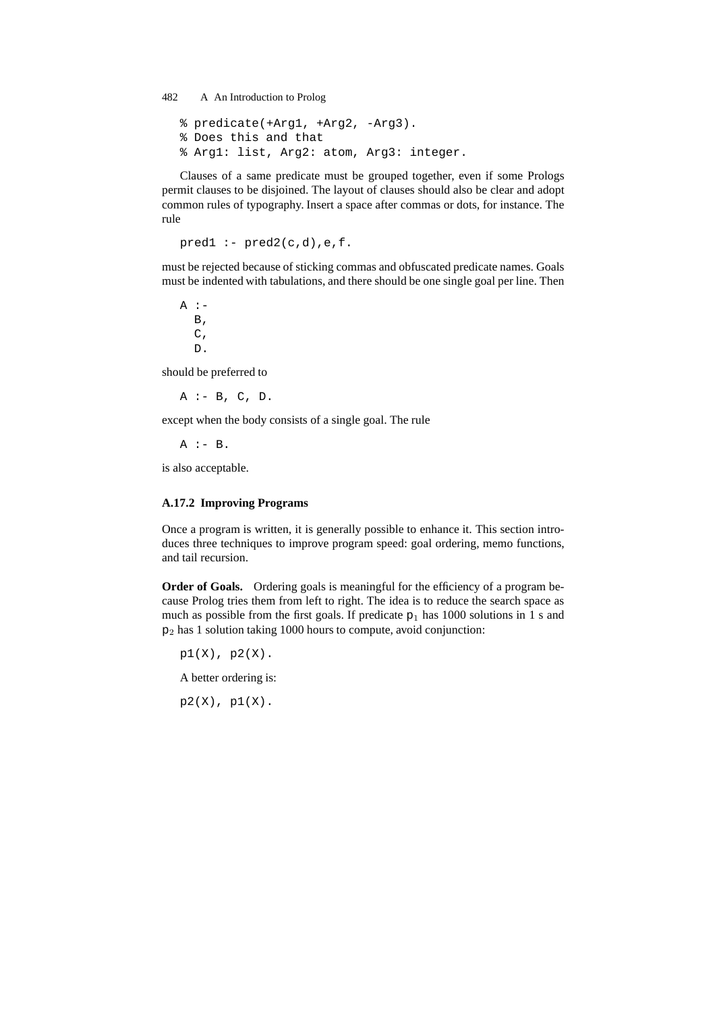% predicate(+Arg1, +Arg2, -Arg3). % Does this and that % Arg1: list, Arg2: atom, Arg3: integer.

Clauses of a same predicate must be grouped together, even if some Prologs permit clauses to be disjoined. The layout of clauses should also be clear and adopt common rules of typography. Insert a space after commas or dots, for instance. The rule

pred1 :- pred2(c,d),e,f.

must be rejected because of sticking commas and obfuscated predicate names. Goals must be indented with tabulations, and there should be one single goal per line. Then

 $A : B$ , C, D.

should be preferred to

 $A := B, C, D.$ 

except when the body consists of a single goal. The rule

 $A := B$ .

is also acceptable.

### **A.17.2 Improving Programs**

Once a program is written, it is generally possible to enhance it. This section introduces three techniques to improve program speed: goal ordering, memo functions, and tail recursion.

**Order of Goals.** Ordering goals is meaningful for the efficiency of a program because Prolog tries them from left to right. The idea is to reduce the search space as much as possible from the first goals. If predicate  $p_1$  has 1000 solutions in 1 s and p<sup>2</sup> has 1 solution taking 1000 hours to compute, avoid conjunction:

p1(X), p2(X).

A better ordering is:

 $p2(X), p1(X)$ .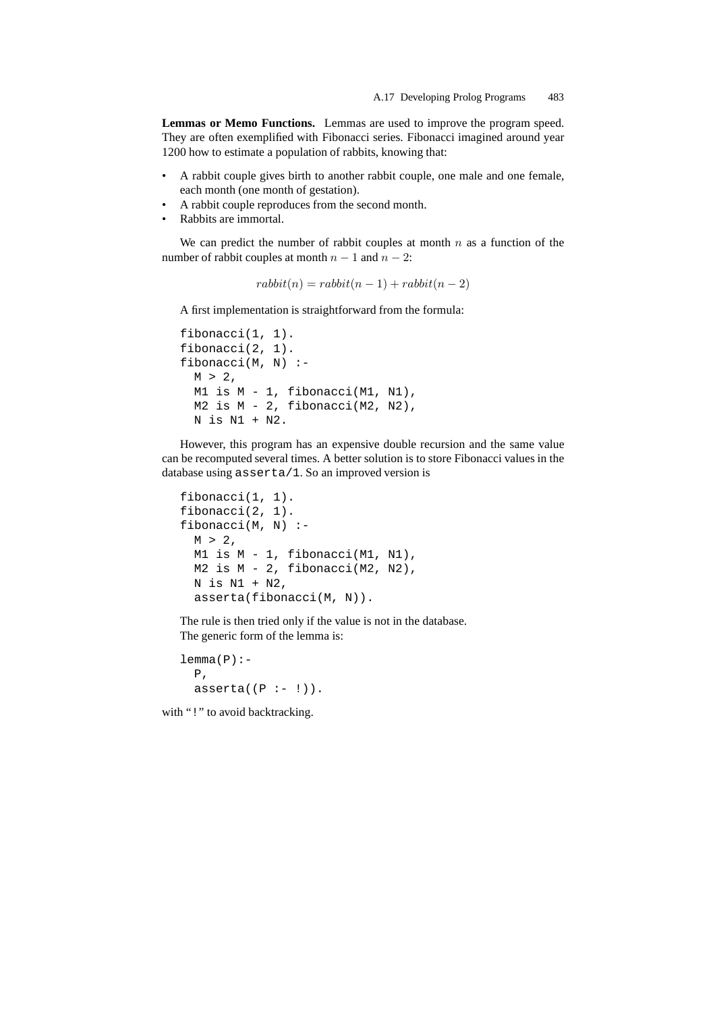**Lemmas or Memo Functions.** Lemmas are used to improve the program speed. They are often exemplified with Fibonacci series. Fibonacci imagined around year 1200 how to estimate a population of rabbits, knowing that:

- A rabbit couple gives birth to another rabbit couple, one male and one female, each month (one month of gestation).
- A rabbit couple reproduces from the second month.
- Rabbits are immortal.

We can predict the number of rabbit couples at month  $n$  as a function of the number of rabbit couples at month  $n - 1$  and  $n - 2$ :

```
rabbit(n) = rabbit(n-1) + rabbit(n-2)
```
A first implementation is straightforward from the formula:

```
fibonacci(1, 1).
fibonacci(2, 1).
fibonacci(M, N) :-
  M > 2,
  M1 is M - 1, fibonacci(M1, N1),
  M2 is M - 2, fibonacci(M2, N2),
  N is N1 + N2.
```
However, this program has an expensive double recursion and the same value can be recomputed several times. A better solution is to store Fibonacci values in the database using asserta/1. So an improved version is

```
fibonacci(1, 1).
fibonacci(2, 1).
fibonacci(M, N) :-
 M > 2,
 M1 is M - 1, fibonacci(M1, N1),
 M2 is M - 2, fibonacci(M2, N2),
 N is N1 + N2,
 asserta(fibonacci(M, N)).
```
The rule is then tried only if the value is not in the database. The generic form of the lemma is:

```
lemma(P): -
 P,
 asserta((P:-!)).
```
with "!" to avoid backtracking.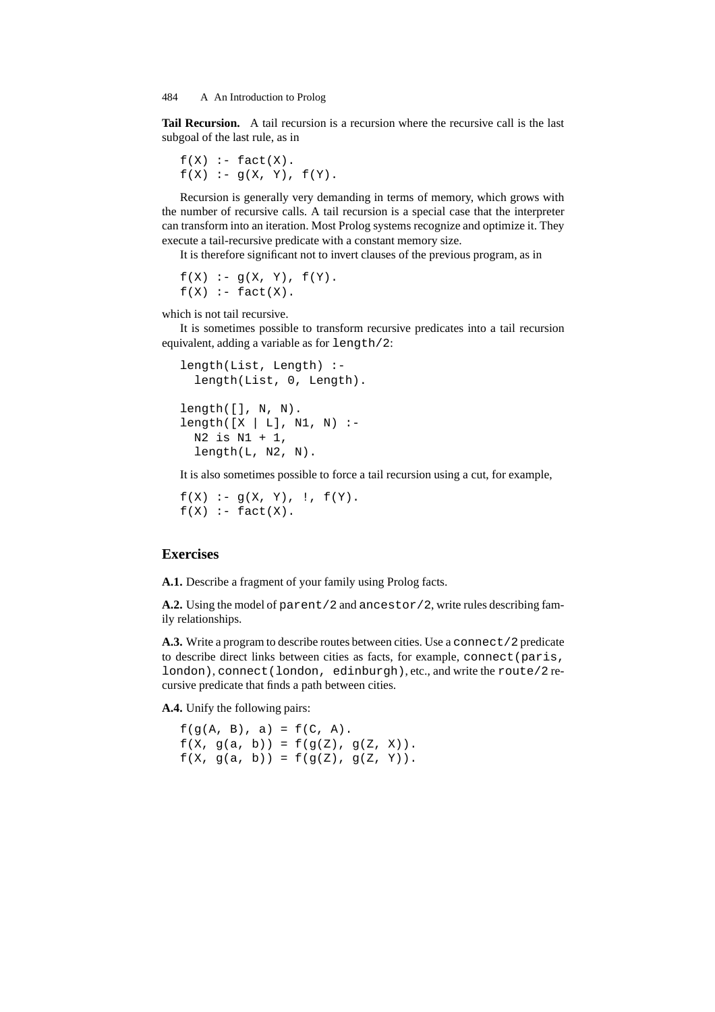**Tail Recursion.** A tail recursion is a recursion where the recursive call is the last subgoal of the last rule, as in

```
f(X) :- fact(X).
f(X) := g(X, Y), f(Y).
```
Recursion is generally very demanding in terms of memory, which grows with the number of recursive calls. A tail recursion is a special case that the interpreter can transform into an iteration. Most Prolog systems recognize and optimize it. They execute a tail-recursive predicate with a constant memory size.

It is therefore significant not to invert clauses of the previous program, as in

 $f(X) := g(X, Y), f(Y).$  $f(X)$  :- fact(X).

which is not tail recursive.

It is sometimes possible to transform recursive predicates into a tail recursion equivalent, adding a variable as for length/2:

```
length(List, Length) :-
  length(List, 0, Length).
length([], N, N).
length([X | L], NI, N) :-
  N2 is N1 + 1,
  length(L, N2, N).
```
It is also sometimes possible to force a tail recursion using a cut, for example,

 $f(X) := g(X, Y),$  !,  $f(Y)$ .  $f(X)$  :- fact(X).

## **Exercises**

**A.1.** Describe a fragment of your family using Prolog facts.

**A.2.** Using the model of parent/2 and ancestor/2, write rules describing family relationships.

**A.3.** Write a program to describe routes between cities. Use a connect/2 predicate to describe direct links between cities as facts, for example, connect(paris, london), connect(london, edinburgh), etc., and write the route/2 recursive predicate that finds a path between cities.

**A.4.** Unify the following pairs:

 $f(g(A, B), a) = f(C, A).$  $f(X, g(a, b)) = f(g(Z), g(Z, X)).$  $f(X, g(a, b)) = f(g(Z), g(Z, Y)).$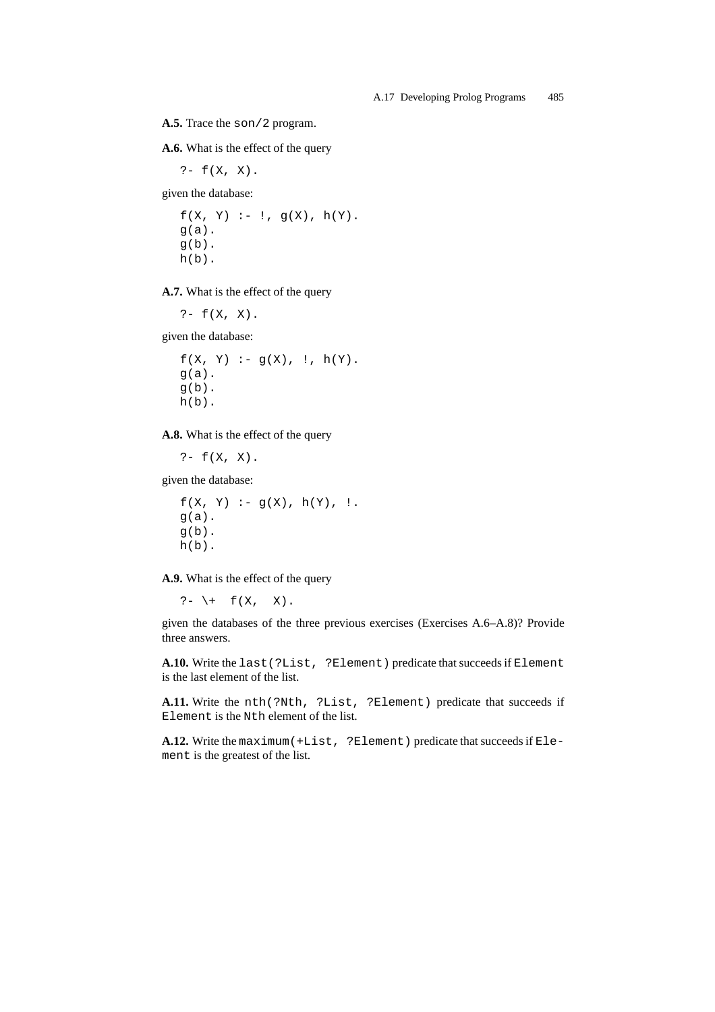#### A.17 Developing Prolog Programs 485

**A.5.** Trace the son/2 program.

**A.6.** What is the effect of the query

?- f(X, X).

given the database:

 $f(X, Y)$  :- !,  $g(X)$ ,  $h(Y)$ . g(a).  $q(b)$ .  $h(b)$ .

**A.7.** What is the effect of the query

?-  $f(X, X)$ .

given the database:

 $f(X, Y) := g(X), !, h(Y).$  $g(a)$ .  $g(b)$ .  $h(b)$ .

**A.8.** What is the effect of the query

 $? - f(X, X)$ .

given the database:

 $f(X, Y) := g(X), h(Y),$  !.  $g(a)$ . g(b).  $h(b)$ .

**A.9.** What is the effect of the query

?-  $\lambda$ +  $f(X, X)$ .

given the databases of the three previous exercises (Exercises A.6–A.8)? Provide three answers.

**A.10.** Write the last(?List, ?Element) predicate that succeeds if Element is the last element of the list.

**A.11.** Write the nth(?Nth, ?List, ?Element) predicate that succeeds if Element is the Nth element of the list.

**A.12.** Write the maximum(+List, ?Element) predicate that succeeds if Element is the greatest of the list.